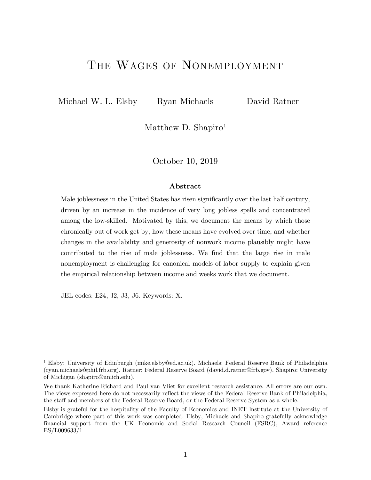# THE WAGES OF NONEMPLOYMENT

Michael W. L. Elsby Ryan Michaels David Ratner

Matthew D. Shapiro<sup>[1](#page-0-0)</sup>

October 10, 2019

#### Abstract

Male joblessness in the United States has risen significantly over the last half century, driven by an increase in the incidence of very long jobless spells and concentrated among the low-skilled. Motivated by this, we document the means by which those chronically out of work get by, how these means have evolved over time, and whether changes in the availability and generosity of nonwork income plausibly might have contributed to the rise of male joblessness. We find that the large rise in male nonemployment is challenging for canonical models of labor supply to explain given the empirical relationship between income and weeks work that we document.

JEL codes: E24, J2, J3, J6. Keywords: X.

<span id="page-0-0"></span><sup>1</sup> Elsby: University of Edinburgh (mike.elsby@ed.ac.uk). Michaels: Federal Reserve Bank of Philadelphia (ryan.michaels@phil.frb.org). Ratner: Federal Reserve Board (david.d.ratner@frb.gov). Shapiro: University of Michigan (shapiro@umich.edu).

We thank Katherine Richard and Paul van Vliet for excellent research assistance. All errors are our own. The views expressed here do not necessarily reflect the views of the Federal Reserve Bank of Philadelphia, the staff and members of the Federal Reserve Board, or the Federal Reserve System as a whole.

Elsby is grateful for the hospitality of the Faculty of Economics and INET Institute at the University of Cambridge where part of this work was completed. Elsby, Michaels and Shapiro gratefully acknowledge financial support from the UK Economic and Social Research Council (ESRC), Award reference ES/L009633/1.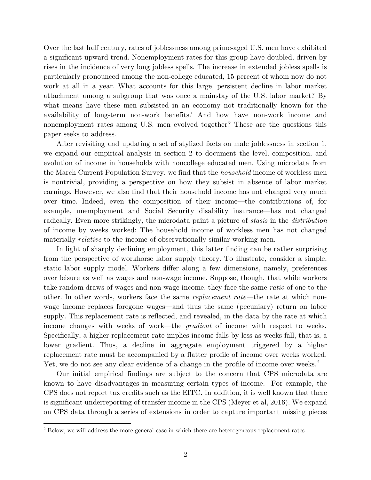Over the last half century, rates of joblessness among prime-aged U.S. men have exhibited a significant upward trend. Nonemployment rates for this group have doubled, driven by rises in the incidence of very long jobless spells. The increase in extended jobless spells is particularly pronounced among the non-college educated, 15 percent of whom now do not work at all in a year. What accounts for this large, persistent decline in labor market attachment among a subgroup that was once a mainstay of the U.S. labor market? By what means have these men subsisted in an economy not traditionally known for the availability of long-term non-work benefits? And how have non-work income and nonemployment rates among U.S. men evolved together? These are the questions this paper seeks to address.

After revisiting and updating a set of stylized facts on male joblessness in section [1,](#page-3-0) we expand our empirical analysis in section 2 to document the level, composition, and evolution of income in households with noncollege educated men. Using microdata from the March Current Population Survey, we find that the household income of workless men is nontrivial, providing a perspective on how they subsist in absence of labor market earnings. However, we also find that their household income has not changed very much over time. Indeed, even the composition of their income—the contributions of, for example, unemployment and Social Security disability insurance—has not changed radically. Even more strikingly, the microdata paint a picture of *stasis* in the *distribution* of income by weeks worked: The household income of workless men has not changed materially *relative* to the income of observationally similar working men.

In light of sharply declining employment, this latter finding can be rather surprising from the perspective of workhorse labor supply theory. To illustrate, consider a simple, static labor supply model. Workers differ along a few dimensions, namely, preferences over leisure as well as wages and non-wage income. Suppose, though, that while workers take random draws of wages and non-wage income, they face the same ratio of one to the other. In other words, workers face the same replacement rate—the rate at which nonwage income replaces foregone wages—and thus the same (pecuniary) return on labor supply. This replacement rate is reflected, and revealed, in the data by the rate at which income changes with weeks of work—the gradient of income with respect to weeks. Specifically, a higher replacement rate implies income falls by less as weeks fall, that is, a lower gradient. Thus, a decline in aggregate employment triggered by a higher replacement rate must be accompanied by a flatter profile of income over weeks worked. Yet, we do not see any clear evidence of a change in the profile of income over weeks.<sup>[2](#page-1-0)</sup>

Our initial empirical findings are subject to the concern that CPS microdata are known to have disadvantages in measuring certain types of income. For example, the CPS does not report tax credits such as the EITC. In addition, it is well known that there is significant underreporting of transfer income in the CPS (Meyer et al, 2016). We expand on CPS data through a series of extensions in order to capture important missing pieces

<span id="page-1-0"></span><sup>&</sup>lt;sup>2</sup> Below, we will address the more general case in which there are heterogeneous replacement rates.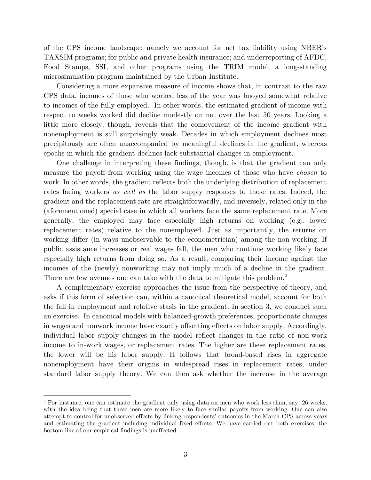of the CPS income landscape; namely we account for net tax liability using NBER's TAXSIM programs; for public and private health insurance; and underreporting of AFDC, Food Stamps, SSI, and other programs using the TRIM model, a long-standing microsimulation program maintained by the Urban Institute.

Considering a more expansive measure of income shows that, in contrast to the raw CPS data, incomes of those who worked less of the year was buoyed somewhat relative to incomes of the fully employed. In other words, the estimated gradient of income with respect to weeks worked did decline modestly on net over the last 50 years. Looking a little more closely, though, reveals that the comovement of the income gradient with nonemployment is still surprisingly weak. Decades in which employment declines most precipitously are often unaccompanied by meaningful declines in the gradient, whereas epochs in which the gradient declines lack substantial changes in employment.

One challenge in interpreting these findings, though, is that the gradient can only measure the payoff from working using the wage incomes of those who have chosen to work. In other words, the gradient reflects both the underlying distribution of replacement rates facing workers as well as the labor supply responses to those rates. Indeed, the gradient and the replacement rate are straightforwardly, and inversely, related only in the (aforementioned) special case in which all workers face the same replacement rate. More generally, the employed may face especially high returns on working (e.g., lower replacement rates) relative to the nonemployed. Just as importantly, the returns on working differ (in ways unobservable to the econometrician) among the non-working. If public assistance increases or real wages fall, the men who continue working likely face especially high returns from doing so. As a result, comparing their income against the incomes of the (newly) nonworking may not imply much of a decline in the gradient. There are few avenues one can take with the data to mitigate this problem.<sup>[3](#page-2-0)</sup>

A complementary exercise approaches the issue from the perspective of theory, and asks if this form of selection can, within a canonical theoretical model, account for both the fall in employment and relative stasis in the gradient. In section [3,](#page-21-0) we conduct such an exercise. In canonical models with balanced-growth preferences, proportionate changes in wages and nonwork income have exactly offsetting effects on labor supply. Accordingly, individual labor supply changes in the model reflect changes in the ratio of non-work income to in-work wages, or replacement rates. The higher are these replacement rates, the lower will be his labor supply. It follows that broad-based rises in aggregate nonemployment have their origins in widespread rises in replacement rates, under standard labor supply theory. We can then ask whether the increase in the average

<span id="page-2-0"></span><sup>3</sup> For instance, one can estimate the gradient only using data on men who work less than, say, 26 weeks, with the idea being that these men are more likely to face similar payoffs from working. One can also attempt to control for unobserved effects by linking respondents' outcomes in the March CPS across years and estimating the gradient including individual fixed effects. We have carried out both exercises; the bottom line of our empirical findings is unaffected.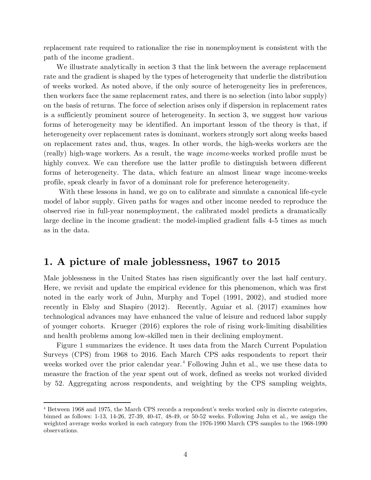replacement rate required to rationalize the rise in nonemployment is consistent with the path of the income gradient.

We illustrate analytically in section 3 that the link between the average replacement rate and the gradient is shaped by the types of heterogeneity that underlie the distribution of weeks worked. As noted above, if the only source of heterogeneity lies in preferences, then workers face the same replacement rates, and there is no selection (into labor supply) on the basis of returns. The force of selection arises only if dispersion in replacement rates is a sufficiently prominent source of heterogeneity. In section 3, we suggest how various forms of heterogeneity may be identified. An important lesson of the theory is that, if heterogeneity over replacement rates is dominant, workers strongly sort along weeks based on replacement rates and, thus, wages. In other words, the high-weeks workers are the (really) high-wage workers. As a result, the wage income-weeks worked profile must be highly convex. We can therefore use the latter profile to distinguish between different forms of heterogeneity. The data, which feature an almost linear wage income-weeks profile, speak clearly in favor of a dominant role for preference heterogeneity.

With these lessons in hand, we go on to calibrate and simulate a canonical life-cycle model of labor supply. Given paths for wages and other income needed to reproduce the observed rise in full-year nonemployment, the calibrated model predicts a dramatically large decline in the income gradient: the model-implied gradient falls 4-5 times as much as in the data.

## <span id="page-3-0"></span>1. A picture of male joblessness, 1967 to 2015

Male joblessness in the United States has risen significantly over the last half century. Here, we revisit and update the empirical evidence for this phenomenon, which was first noted in the early work of Juhn, Murphy and Topel (1991, 2002), and studied more recently in Elsby and Shapiro (2012). Recently, Aguiar et al. (2017) examines how technological advances may have enhanced the value of leisure and reduced labor supply of younger cohorts. Krueger (2016) explores the role of rising work-limiting disabilities and health problems among low-skilled men in their declining employment.

Figure [1](#page-34-0) summarizes the evidence. It uses data from the March Current Population Surveys (CPS) from 1968 to 2016. Each March CPS asks respondents to report their weeks worked over the prior calendar year.<sup>[4](#page-3-1)</sup> Following Juhn et al., we use these data to measure the fraction of the year spent out of work, defined as weeks not worked divided by 52. Aggregating across respondents, and weighting by the CPS sampling weights,

<span id="page-3-1"></span><sup>4</sup> Between 1968 and 1975, the March CPS records a respondent's weeks worked only in discrete categories, binned as follows: 1-13, 14-26, 27-39, 40-47, 48-49, or 50-52 weeks. Following Juhn et al., we assign the weighted average weeks worked in each category from the 1976-1990 March CPS samples to the 1968-1990 observations.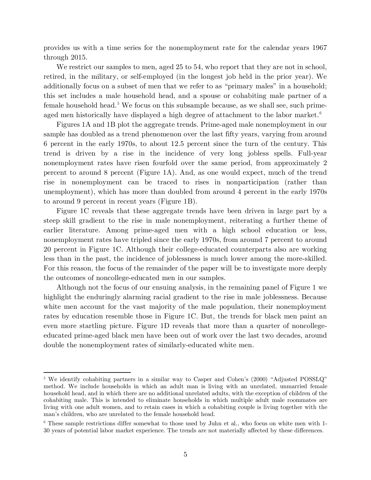provides us with a time series for the nonemployment rate for the calendar years 1967 through 2015.

We restrict our samples to men, aged 25 to 54, who report that they are not in school, retired, in the military, or self-employed (in the longest job held in the prior year). We additionally focus on a subset of men that we refer to as "primary males" in a household; this set includes a male household head, and a spouse or cohabiting male partner of a female household head.<sup>[5](#page-4-0)</sup> We focus on this subsample because, as we shall see, such prime-aged men historically have displayed a high degree of attachment to the labor market.<sup>[6](#page-4-1)</sup>

Figures [1A](#page-34-0) and [1B](#page-34-0) plot the aggregate trends. Prime-aged male nonemployment in our sample has doubled as a trend phenomenon over the last fifty years, varying from around 6 percent in the early 1970s, to about 12.5 percent since the turn of the century. This trend is driven by a rise in the incidence of very long jobless spells. Full-year nonemployment rates have risen fourfold over the same period, from approximately 2 percent to around 8 percent (Figure [1A\)](#page-34-0). And, as one would expect, much of the trend rise in nonemployment can be traced to rises in nonparticipation (rather than unemployment), which has more than doubled from around 4 percent in the early 1970s to around 9 percent in recent years (Figure [1B\)](#page-34-0).

Figure [1C](#page-34-0) reveals that these aggregate trends have been driven in large part by a steep skill gradient to the rise in male nonemployment, reiterating a further theme of earlier literature. Among prime-aged men with a high school education or less, nonemployment rates have tripled since the early 1970s, from around 7 percent to around 20 percent in Figure [1C.](#page-34-0) Although their college-educated counterparts also are working less than in the past, the incidence of joblessness is much lower among the more-skilled. For this reason, the focus of the remainder of the paper will be to investigate more deeply the outcomes of noncollege-educated men in our samples.

Although not the focus of our ensuing analysis, in the remaining panel of Figure [1](#page-34-0) we highlight the enduringly alarming racial gradient to the rise in male joblessness. Because white men account for the vast majority of the male population, their nonemployment rates by education resemble those in Figure [1C.](#page-34-1) But, the trends for black men paint an even more startling picture. Figure [1D](#page-34-0) reveals that more than a quarter of noncollegeeducated prime-aged black men have been out of work over the last two decades, around double the nonemployment rates of similarly-educated white men.

<span id="page-4-0"></span><sup>&</sup>lt;sup>5</sup> We identify cohabiting partners in a similar way to Casper and Cohen's (2000) "Adjusted POSSLQ" method. We include households in which an adult man is living with an unrelated, unmarried female household head, and in which there are no additional unrelated adults, with the exception of children of the cohabiting male. This is intended to eliminate households in which multiple adult male roommates are living with one adult women, and to retain cases in which a cohabiting couple is living together with the man's children, who are unrelated to the female household head.

<span id="page-4-1"></span><sup>6</sup> These sample restrictions differ somewhat to those used by Juhn et al., who focus on white men with 1- 30 years of potential labor market experience. The trends are not materially affected by these differences.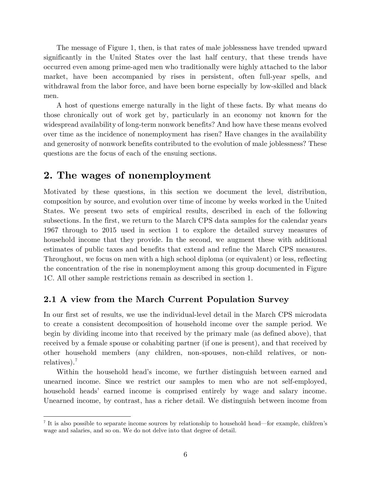The message of Figure [1,](#page-34-0) then, is that rates of male joblessness have trended upward significantly in the United States over the last half century, that these trends have occurred even among prime-aged men who traditionally were highly attached to the labor market, have been accompanied by rises in persistent, often full-year spells, and withdrawal from the labor force, and have been borne especially by low-skilled and black men.

A host of questions emerge naturally in the light of these facts. By what means do those chronically out of work get by, particularly in an economy not known for the widespread availability of long-term nonwork benefits? And how have these means evolved over time as the incidence of nonemployment has risen? Have changes in the availability and generosity of nonwork benefits contributed to the evolution of male joblessness? These questions are the focus of each of the ensuing sections.

## <span id="page-5-1"></span>2. The wages of nonemployment

 $\overline{a}$ 

Motivated by these questions, in this section we document the level, distribution, composition by source, and evolution over time of income by weeks worked in the United States. We present two sets of empirical results, described in each of the following subsections. In the first, we return to the March CPS data samples for the calendar years 1967 through to 2015 used in section [1](#page-3-0) to explore the detailed survey measures of household income that they provide. In the second, we augment these with additional estimates of public taxes and benefits that extend and refine the March CPS measures. Throughout, we focus on men with a high school diploma (or equivalent) or less, reflecting the concentration of the rise in nonemployment among this group documented in Figure [1C.](#page-34-0) All other sample restrictions remain as described in section [1.](#page-3-0)

#### 2.1 A view from the March Current Population Survey

In our first set of results, we use the individual-level detail in the March CPS microdata to create a consistent decomposition of household income over the sample period. We begin by dividing income into that received by the primary male (as defined above), that received by a female spouse or cohabiting partner (if one is present), and that received by other household members (any children, non-spouses, non-child relatives, or nonrelatives).[7](#page-5-0)

Within the household head's income, we further distinguish between earned and unearned income. Since we restrict our samples to men who are not self-employed, household heads' earned income is comprised entirely by wage and salary income. Unearned income, by contrast, has a richer detail. We distinguish between income from

<span id="page-5-0"></span><sup>7</sup> It is also possible to separate income sources by relationship to household head—for example, children's wage and salaries, and so on. We do not delve into that degree of detail.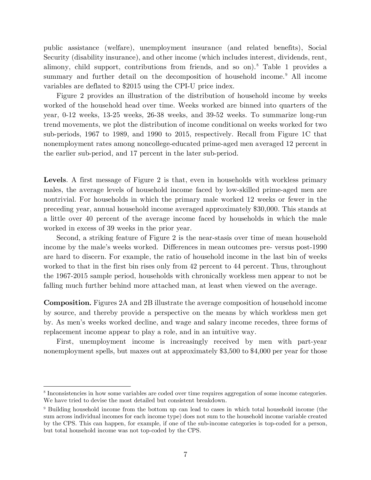public assistance (welfare), unemployment insurance (and related benefits), Social Security (disability insurance), and other income (which includes interest, dividends, rent, alimony, child support, contributions from friends, and so on).<sup>[8](#page-6-0)</sup> Table [1](#page-35-0) provides a summary and further detail on the decomposition of household income.<sup>[9](#page-6-1)</sup> All income variables are deflated to \$2015 using the CPI-U price index.

Figure [2](#page-36-0) provides an illustration of the distribution of household income by weeks worked of the household head over time. Weeks worked are binned into quarters of the year, 0-12 weeks, 13-25 weeks, 26-38 weeks, and 39-52 weeks. To summarize long-run trend movements, we plot the distribution of income conditional on weeks worked for two sub-periods, 1967 to 1989, and 1990 to 2015, respectively. Recall from Figure [1C](#page-34-0) that nonemployment rates among noncollege-educated prime-aged men averaged 12 percent in the earlier sub-period, and 17 percent in the later sub-period.

Levels. A first message of Figure [2](#page-36-0) is that, even in households with workless primary males, the average levels of household income faced by low-skilled prime-aged men are nontrivial. For households in which the primary male worked 12 weeks or fewer in the preceding year, annual household income averaged approximately \$30,000. This stands at a little over 40 percent of the average income faced by households in which the male worked in excess of 39 weeks in the prior year.

Second, a striking feature of Figure [2](#page-36-0) is the near-stasis over time of mean household income by the male's weeks worked. Differences in mean outcomes pre- versus post-1990 are hard to discern. For example, the ratio of household income in the last bin of weeks worked to that in the first bin rises only from 42 percent to 44 percent. Thus, throughout the 1967-2015 sample period, households with chronically workless men appear to not be falling much further behind more attached man, at least when viewed on the average.

Composition. Figures [2A](#page-36-0) and [2B](#page-36-0) illustrate the average composition of household income by source, and thereby provide a perspective on the means by which workless men get by. As men's weeks worked decline, and wage and salary income recedes, three forms of replacement income appear to play a role, and in an intuitive way.

First, unemployment income is increasingly received by men with part-year nonemployment spells, but maxes out at approximately \$3,500 to \$4,000 per year for those

<span id="page-6-0"></span><sup>8</sup> Inconsistencies in how some variables are coded over time requires aggregation of some income categories. We have tried to devise the most detailed but consistent breakdown.

<span id="page-6-1"></span><sup>9</sup> Building household income from the bottom up can lead to cases in which total household income (the sum across individual incomes for each income type) does not sum to the household income variable created by the CPS. This can happen, for example, if one of the sub-income categories is top-coded for a person, but total household income was not top-coded by the CPS.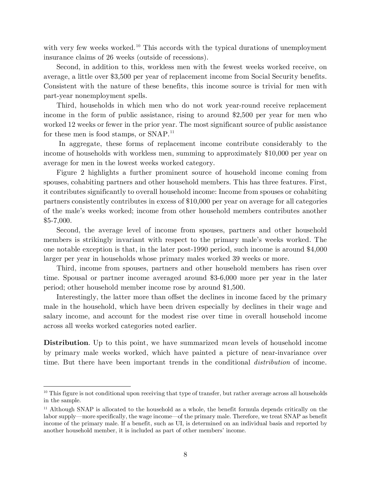with very few weeks worked.<sup>[10](#page-7-0)</sup> This accords with the typical durations of unemployment insurance claims of 26 weeks (outside of recessions).

Second, in addition to this, workless men with the fewest weeks worked receive, on average, a little over \$3,500 per year of replacement income from Social Security benefits. Consistent with the nature of these benefits, this income source is trivial for men with part-year nonemployment spells.

Third, households in which men who do not work year-round receive replacement income in the form of public assistance, rising to around \$2,500 per year for men who worked 12 weeks or fewer in the prior year. The most significant source of public assistance for these men is food stamps, or  $SNAP$ .<sup>[11](#page-7-1)</sup>

In aggregate, these forms of replacement income contribute considerably to the income of households with workless men, summing to approximately \$10,000 per year on average for men in the lowest weeks worked category.

Figure [2](#page-36-0) highlights a further prominent source of household income coming from spouses, cohabiting partners and other household members. This has three features. First, it contributes significantly to overall household income: Income from spouses or cohabiting partners consistently contributes in excess of \$10,000 per year on average for all categories of the male's weeks worked; income from other household members contributes another \$5-7,000.

Second, the average level of income from spouses, partners and other household members is strikingly invariant with respect to the primary male's weeks worked. The one notable exception is that, in the later post-1990 period, such income is around \$4,000 larger per year in households whose primary males worked 39 weeks or more.

Third, income from spouses, partners and other household members has risen over time. Spousal or partner income averaged around \$3-6,000 more per year in the later period; other household member income rose by around \$1,500.

Interestingly, the latter more than offset the declines in income faced by the primary male in the household, which have been driven especially by declines in their wage and salary income, and account for the modest rise over time in overall household income across all weeks worked categories noted earlier.

Distribution. Up to this point, we have summarized mean levels of household income by primary male weeks worked, which have painted a picture of near-invariance over time. But there have been important trends in the conditional *distribution* of income.

<span id="page-7-0"></span> $10$  This figure is not conditional upon receiving that type of transfer, but rather average across all households in the sample.

<span id="page-7-1"></span><sup>&</sup>lt;sup>11</sup> Although SNAP is allocated to the household as a whole, the benefit formula depends critically on the labor supply—more specifically, the wage income—of the primary male. Therefore, we treat SNAP as benefit income of the primary male. If a benefit, such as UI, is determined on an individual basis and reported by another household member, it is included as part of other members' income.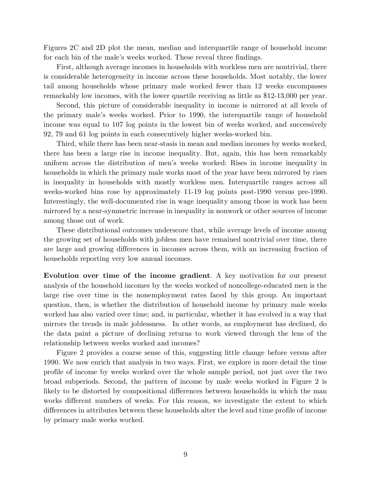Figures [2C](#page-36-0) and [2D](#page-36-0) plot the mean, median and interquartile range of household income for each bin of the male's weeks worked. These reveal three findings.

First, although average incomes in households with workless men are nontrivial, there is considerable heterogeneity in income across these households. Most notably, the lower tail among households whose primary male worked fewer than 12 weeks encompasses remarkably low incomes, with the lower quartile receiving as little as \$12-13,000 per year.

Second, this picture of considerable inequality in income is mirrored at all levels of the primary male's weeks worked. Prior to 1990, the interquartile range of household income was equal to 107 log points in the lowest bin of weeks worked, and successively 92, 79 and 61 log points in each consecutively higher weeks-worked bin.

Third, while there has been near-stasis in mean and median incomes by weeks worked, there has been a large rise in income inequality. But, again, this has been remarkably uniform across the distribution of men's weeks worked: Rises in income inequality in households in which the primary male works most of the year have been mirrored by rises in inequality in households with mostly workless men. Interquartile ranges across all weeks-worked bins rose by approximately 11-19 log points post-1990 versus pre-1990. Interestingly, the well-documented rise in wage inequality among those in work has been mirrored by a near-symmetric increase in inequality in nonwork or other sources of income among those out of work.

These distributional outcomes underscore that, while average levels of income among the growing set of households with jobless men have remained nontrivial over time, there are large and growing differences in incomes across them, with an increasing fraction of households reporting very low annual incomes.

Evolution over time of the income gradient. A key motivation for our present analysis of the household incomes by the weeks worked of noncollege-educated men is the large rise over time in the nonemployment rates faced by this group. An important question, then, is whether the distribution of household income by primary male weeks worked has also varied over time; and, in particular, whether it has evolved in a way that mirrors the trends in male joblessness. In other words, as employment has declined, do the data paint a picture of declining returns to work viewed through the lens of the relationship between weeks worked and incomes?

Figure [2](#page-36-0) provides a coarse sense of this, suggesting little change before versus after 1990. We now enrich that analysis in two ways. First, we explore in more detail the time profile of income by weeks worked over the whole sample period, not just over the two broad subperiods. Second, the pattern of income by male weeks worked in Figure [2](#page-36-0) is likely to be distorted by compositional differences between households in which the man works different numbers of weeks. For this reason, we investigate the extent to which differences in attributes between these households alter the level and time profile of income by primary male weeks worked.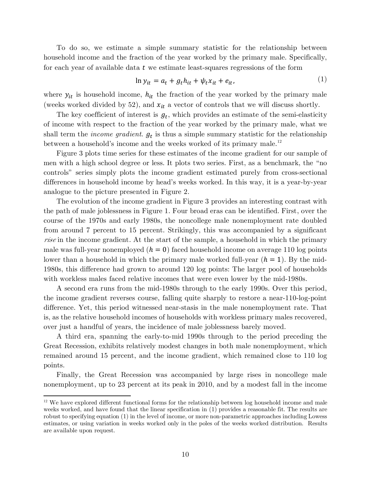To do so, we estimate a simple summary statistic for the relationship between household income and the fraction of the year worked by the primary male. Specifically, for each year of available data  $t$  we estimate least-squares regressions of the form

<span id="page-9-0"></span>
$$
\ln y_{it} = a_t + g_t h_{it} + \psi_t x_{it} + e_{it}, \tag{1}
$$

where  $y_{it}$  is household income,  $h_{it}$  the fraction of the year worked by the primary male (weeks worked divided by 52), and  $x_{it}$  a vector of controls that we will discuss shortly.

The key coefficient of interest is  $g_t$ , which provides an estimate of the semi-elasticity of income with respect to the fraction of the year worked by the primary male, what we shall term the *income gradient.*  $g_t$  is thus a simple summary statistic for the relationship between a household's income and the weeks worked of its primary male.<sup>[12](#page-9-1)</sup>

Figure [3](#page-37-0) plots time series for these estimates of the income gradient for our sample of men with a high school degree or less. It plots two series. First, as a benchmark, the "no controls" series simply plots the income gradient estimated purely from cross-sectional differences in household income by head's weeks worked. In this way, it is a year-by-year analogue to the picture presented in Figure [2.](#page-36-0)

The evolution of the income gradient in Figure [3](#page-37-0) provides an interesting contrast with the path of male joblessness in Figure [1.](#page-34-0) Four broad eras can be identified. First, over the course of the 1970s and early 1980s, the noncollege male nonemployment rate doubled from around 7 percent to 15 percent. Strikingly, this was accompanied by a significant rise in the income gradient. At the start of the sample, a household in which the primary male was full-year nonemployed  $(h = 0)$  faced household income on average 110 log points lower than a household in which the primary male worked full-year  $(h = 1)$ . By the mid-1980s, this difference had grown to around 120 log points: The larger pool of households with workless males faced relative incomes that were even lower by the mid-1980s.

A second era runs from the mid-1980s through to the early 1990s. Over this period, the income gradient reverses course, falling quite sharply to restore a near-110-log-point difference. Yet, this period witnessed near-stasis in the male nonemployment rate. That is, as the relative household incomes of households with workless primary males recovered, over just a handful of years, the incidence of male joblessness barely moved.

A third era, spanning the early-to-mid 1990s through to the period preceding the Great Recession, exhibits relatively modest changes in both male nonemployment, which remained around 15 percent, and the income gradient, which remained close to 110 log points.

Finally, the Great Recession was accompanied by large rises in noncollege male nonemployment, up to 23 percent at its peak in 2010, and by a modest fall in the income

<span id="page-9-1"></span> $12$  We have explored different functional forms for the relationship between log household income and male weeks worked, and have found that the linear specification in [\(1\)](#page-9-0) provides a reasonable fit. The results are robust to specifying equation (1) in the level of income, or more non-parametric approaches including Lowess estimates, or using variation in weeks worked only in the poles of the weeks worked distribution. Results are available upon request.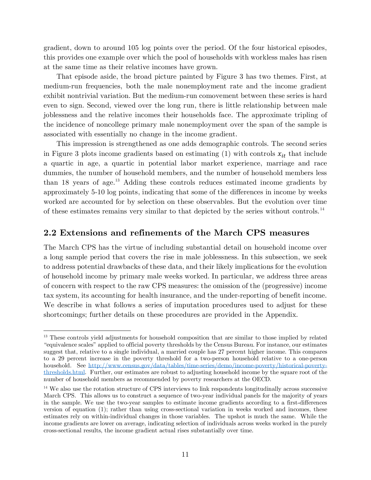gradient, down to around 105 log points over the period. Of the four historical episodes, this provides one example over which the pool of households with workless males has risen at the same time as their relative incomes have grown.

That episode aside, the broad picture painted by Figure [3](#page-37-0) has two themes. First, at medium-run frequencies, both the male nonemployment rate and the income gradient exhibit nontrivial variation. But the medium-run comovement between these series is hard even to sign. Second, viewed over the long run, there is little relationship between male joblessness and the relative incomes their households face. The approximate tripling of the incidence of noncollege primary male nonemployment over the span of the sample is associated with essentially no change in the income gradient.

This impression is strengthened as one adds demographic controls. The second series in Figure [3](#page-37-0) plots income gradients based on estimating [\(1\)](#page-9-0) with controls  $x_{it}$  that include a quartic in age, a quartic in potential labor market experience, marriage and race dummies, the number of household members, and the number of household members less than 18 years of age.<sup>13</sup> Adding these controls reduces estimated income gradients by approximately 5-10 log points, indicating that some of the differences in income by weeks worked are accounted for by selection on these observables. But the evolution over time of these estimates remains very similar to that depicted by the series without controls. [14](#page-10-1)

#### 2.2 Extensions and refinements of the March CPS measures

The March CPS has the virtue of including substantial detail on household income over a long sample period that covers the rise in male joblessness. In this subsection, we seek to address potential drawbacks of these data, and their likely implications for the evolution of household income by primary male weeks worked. In particular, we address three areas of concern with respect to the raw CPS measures: the omission of the (progressive) income tax system, its accounting for health insurance, and the under-reporting of benefit income. We describe in what follows a series of imputation procedures used to adjust for these shortcomings; further details on these procedures are provided in the Appendix.

<span id="page-10-0"></span><sup>&</sup>lt;sup>13</sup> These controls yield adjustments for household composition that are similar to those implied by related "equivalence scales" applied to official poverty thresholds by the Census Bureau. For instance, our estimates suggest that, relative to a single individual, a married couple has 27 percent higher income. This compares to a 29 percent increase in the poverty threshold for a two-person household relative to a one-person household. See [http://www.census.gov/data/tables/time-series/demo/income-poverty/historical-poverty](http://www.census.gov/data/tables/time-series/demo/income-poverty/historical-poverty-thresholds.html)[thresholds.html.](http://www.census.gov/data/tables/time-series/demo/income-poverty/historical-poverty-thresholds.html) Further, our estimates are robust to adjusting household income by the square root of the number of household members as recommended by poverty researchers at the OECD.

<span id="page-10-1"></span><sup>&</sup>lt;sup>14</sup> We also use the rotation structure of CPS interviews to link respondents longitudinally across successive March CPS. This allows us to construct a sequence of two-year individual panels for the majority of years in the sample. We use the two-year samples to estimate income gradients according to a first-differences version of equation (1); rather than using cross-sectional variation in weeks worked and incomes, these estimates rely on within-individual changes in those variables. The upshot is much the same. While the income gradients are lower on average, indicating selection of individuals across weeks worked in the purely cross-sectional results, the income gradient actual rises substantially over time.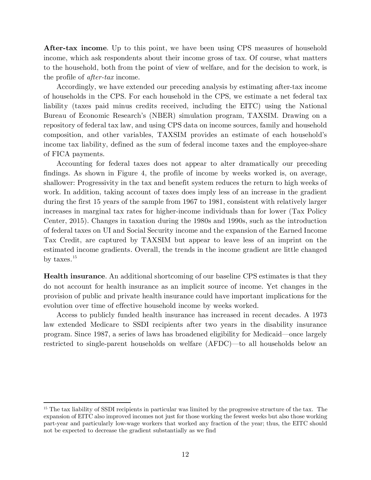After-tax income. Up to this point, we have been using CPS measures of household income, which ask respondents about their income gross of tax. Of course, what matters to the household, both from the point of view of welfare, and for the decision to work, is the profile of after-tax income.

Accordingly, we have extended our preceding analysis by estimating after-tax income of households in the CPS. For each household in the CPS, we estimate a net federal tax liability (taxes paid minus credits received, including the EITC) using the National Bureau of Economic Research's (NBER) simulation program, TAXSIM. Drawing on a repository of federal tax law, and using CPS data on income sources, family and household composition, and other variables, TAXSIM provides an estimate of each household's income tax liability, defined as the sum of federal income taxes and the employee-share of FICA payments.

Accounting for federal taxes does not appear to alter dramatically our preceding findings. As shown in Figure [4,](#page-38-0) the profile of income by weeks worked is, on average, shallower: Progressivity in the tax and benefit system reduces the return to high weeks of work. In addition, taking account of taxes does imply less of an increase in the gradient during the first 15 years of the sample from 1967 to 1981, consistent with relatively larger increases in marginal tax rates for higher-income individuals than for lower (Tax Policy Center, 2015). Changes in taxation during the 1980s and 1990s, such as the introduction of federal taxes on UI and Social Security income and the expansion of the Earned Income Tax Credit, are captured by TAXSIM but appear to leave less of an imprint on the estimated income gradients. Overall, the trends in the income gradient are little changed by taxes.[15](#page-11-0)

Health insurance. An additional shortcoming of our baseline CPS estimates is that they do not account for health insurance as an implicit source of income. Yet changes in the provision of public and private health insurance could have important implications for the evolution over time of effective household income by weeks worked.

Access to publicly funded health insurance has increased in recent decades. A 1973 law extended Medicare to SSDI recipients after two years in the disability insurance program. Since 1987, a series of laws has broadened eligibility for Medicaid—once largely restricted to single-parent households on welfare (AFDC)—to all households below an

<span id="page-11-0"></span><sup>&</sup>lt;sup>15</sup> The tax liability of SSDI recipients in particular was limited by the progressive structure of the tax. The expansion of EITC also improved incomes not just for those working the fewest weeks but also those working part-year and particularly low-wage workers that worked any fraction of the year; thus, the EITC should not be expected to decrease the gradient substantially as we find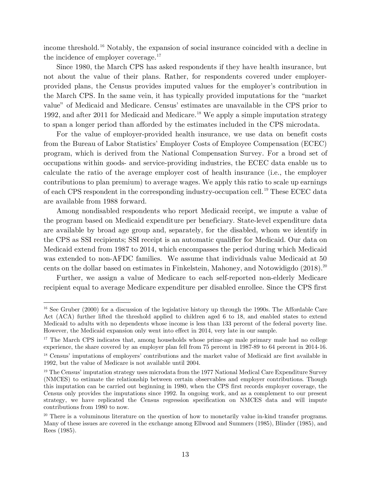income threshold. [16](#page-12-0) Notably, the expansion of social insurance coincided with a decline in the incidence of employer coverage. $17$ 

Since 1980, the March CPS has asked respondents if they have health insurance, but not about the value of their plans. Rather, for respondents covered under employerprovided plans, the Census provides imputed values for the employer's contribution in the March CPS. In the same vein, it has typically provided imputations for the "market value" of Medicaid and Medicare. Census' estimates are unavailable in the CPS prior to 1992, and after 2011 for Medicaid and Medicare.<sup>[18](#page-12-2)</sup> We apply a simple imputation strategy to span a longer period than afforded by the estimates included in the CPS microdata.

For the value of employer-provided health insurance, we use data on benefit costs from the Bureau of Labor Statistics' Employer Costs of Employee Compensation (ECEC) program, which is derived from the National Compensation Survey. For a broad set of occupations within goods- and service-providing industries, the ECEC data enable us to calculate the ratio of the average employer cost of health insurance (i.e., the employer contributions to plan premium) to average wages. We apply this ratio to scale up earnings of each CPS respondent in the corresponding industry-occupation cell. [19](#page-12-3) These ECEC data are available from 1988 forward.

Among nondisabled respondents who report Medicaid receipt, we impute a value of the program based on Medicaid expenditure per beneficiary. State-level expenditure data are available by broad age group and, separately, for the disabled, whom we identify in the CPS as SSI recipients; SSI receipt is an automatic qualifier for Medicaid. Our data on Medicaid extend from 1987 to 2014, which encompasses the period during which Medicaid was extended to non-AFDC families. We assume that individuals value Medicaid at 50 cents on the dollar based on estimates in Finkelstein, Mahoney, and Notowidigdo ([20](#page-12-4)18).<sup>20</sup>

Further, we assign a value of Medicare to each self-reported non-elderly Medicare recipient equal to average Medicare expenditure per disabled enrollee. Since the CPS first

<span id="page-12-0"></span><sup>&</sup>lt;sup>16</sup> See Gruber (2000) for a discussion of the legislative history up through the 1990s. The Affordable Care Act (ACA) further lifted the threshold applied to children aged 6 to 18, and enabled states to extend Medicaid to adults with no dependents whose income is less than 133 percent of the federal poverty line. However, the Medicaid expansion only went into effect in 2014, very late in our sample.

<span id="page-12-1"></span><sup>&</sup>lt;sup>17</sup> The March CPS indicates that, among households whose prime-age male primary male had no college experience, the share covered by an employer plan fell from 75 percent in 1987-89 to 64 percent in 2014-16.

<span id="page-12-2"></span><sup>18</sup> Census' imputations of employers' contributions and the market value of Medicaid are first available in 1992, but the value of Medicare is not available until 2004.

<span id="page-12-3"></span><sup>&</sup>lt;sup>19</sup> The Census' imputation strategy uses microdata from the 1977 National Medical Care Expenditure Survey (NMCES) to estimate the relationship between certain observables and employer contributions. Though this imputation can be carried out beginning in 1980, when the CPS first records employer coverage, the Census only provides the imputations since 1992. In ongoing work, and as a complement to our present strategy, we have replicated the Census regression specification on NMCES data and will impute contributions from 1980 to now.

<span id="page-12-4"></span><sup>&</sup>lt;sup>20</sup> There is a voluminous literature on the question of how to monetarily value in-kind transfer programs. Many of these issues are covered in the exchange among Ellwood and Summers (1985), Blinder (1985), and Rees (1985).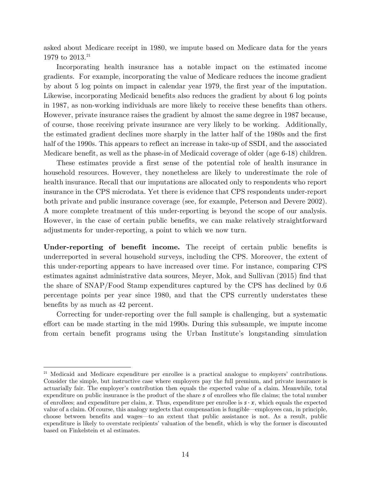asked about Medicare receipt in 1980, we impute based on Medicare data for the years 1979 to 2013. [21](#page-13-0)

Incorporating health insurance has a notable impact on the estimated income gradients. For example, incorporating the value of Medicare reduces the income gradient by about 5 log points on impact in calendar year 1979, the first year of the imputation. Likewise, incorporating Medicaid benefits also reduces the gradient by about 6 log points in 1987, as non-working individuals are more likely to receive these benefits than others. However, private insurance raises the gradient by almost the same degree in 1987 because, of course, those receiving private insurance are very likely to be working. Additionally, the estimated gradient declines more sharply in the latter half of the 1980s and the first half of the 1990s. This appears to reflect an increase in take-up of SSDI, and the associated Medicare benefit, as well as the phase-in of Medicaid coverage of older (age 6-18) children.

These estimates provide a first sense of the potential role of health insurance in household resources. However, they nonetheless are likely to underestimate the role of health insurance. Recall that our imputations are allocated only to respondents who report insurance in the CPS microdata. Yet there is evidence that CPS respondents under-report both private and public insurance coverage (see, for example, Peterson and Devere 2002). A more complete treatment of this under-reporting is beyond the scope of our analysis. However, in the case of certain public benefits, we can make relatively straightforward adjustments for under-reporting, a point to which we now turn.

Under-reporting of benefit income. The receipt of certain public benefits is underreported in several household surveys, including the CPS. Moreover, the extent of this under-reporting appears to have increased over time. For instance, comparing CPS estimates against administrative data sources, Meyer, Mok, and Sullivan (2015) find that the share of SNAP/Food Stamp expenditures captured by the CPS has declined by 0.6 percentage points per year since 1980, and that the CPS currently understates these benefits by as much as 42 percent.

Correcting for under-reporting over the full sample is challenging, but a systematic effort can be made starting in the mid 1990s. During this subsample, we impute income from certain benefit programs using the Urban Institute's longstanding simulation

<span id="page-13-0"></span><sup>&</sup>lt;sup>21</sup> Medicaid and Medicare expenditure per enrollee is a practical analogue to employers' contributions. Consider the simple, but instructive case where employers pay the full premium, and private insurance is actuarially fair. The employer's contribution then equals the expected value of a claim. Meanwhile, total expenditure on public insurance is the product of the share  $s$  of enrollees who file claims; the total number of enrollees; and expenditure per claim,  $\chi$ . Thus, expenditure per enrollee is  $s \cdot \chi$ , which equals the expected value of a claim. Of course, this analogy neglects that compensation is fungible—employees can, in principle, choose between benefits and wages—to an extent that public assistance is not. As a result, public expenditure is likely to overstate recipients' valuation of the benefit, which is why the former is discounted based on Finkelstein et al estimates.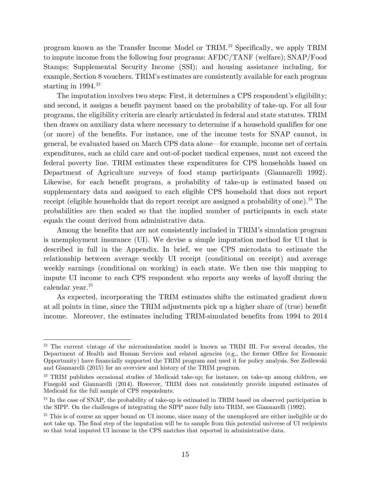program known as the Transfer Income Model or TRIM.<sup>[22](#page-14-0)</sup> Specifically, we apply TRIM to impute income from the following four programs: AFDC/TANF (welfare); SNAP/Food Stamps; Supplemental Security Income (SSI); and housing assistance including, for example, Section 8 vouchers. TRIM's estimates are consistently available for each program starting in 1994. $^{23}$  $^{23}$  $^{23}$ 

The imputation involves two steps: First, it determines a CPS respondent's eligibility; and second, it assigns a benefit payment based on the probability of take-up. For all four programs, the eligibility criteria are clearly articulated in federal and state statutes. TRIM then draws on auxiliary data where necessary to determine if a household qualifies for one (or more) of the benefits. For instance, one of the income tests for SNAP cannot, in general, be evaluated based on March CPS data alone—for example, income net of certain expenditures, such as child care and out-of-pocket medical expenses, must not exceed the federal poverty line. TRIM estimates these expenditures for CPS households based on Department of Agriculture surveys of food stamp participants (Giannarelli 1992). Likewise, for each benefit program, a probability of take-up is estimated based on supplementary data and assigned to each eligible CPS household that does not report receipt (eligible households that do report receipt are assigned a probability of one).<sup>[24](#page-14-2)</sup> The probabilities are then scaled so that the implied number of participants in each state equals the count derived from administrative data.

Among the benefits that are not consistently included in TRIM's simulation program is unemployment insurance (UI). We devise a simple imputation method for UI that is described in full in the Appendix. In brief, we use CPS microdata to estimate the relationship between average weekly UI receipt (conditional on receipt) and average weekly earnings (conditional on working) in each state. We then use this mapping to impute UI income to each CPS respondent who reports any weeks of layoff during the calendar year.<sup>[25](#page-14-3)</sup>

As expected, incorporating the TRIM estimates shifts the estimated gradient down at all points in time, since the TRIM adjustments pick up a higher share of (true) benefit income. Moreover, the estimates including TRIM-simulated benefits from 1994 to 2014

<span id="page-14-0"></span> $22$  The current vintage of the microsimulation model is known as TRIM III. For several decades, the Department of Health and Human Services and related agencies (e.g., the former Office for Economic Opportunity) have financially supported the TRIM program and used it for policy analysis. See Zedlewski and Giannarelli (2015) for an overview and history of the TRIM program.

<span id="page-14-1"></span><sup>&</sup>lt;sup>23</sup> TRIM publishes occasional studies of Medicaid take-up; for instance, on take-up among children, see Finegold and Giannarelli (2014). However, TRIM does not consistently provide imputed estimates of Medicaid for the full sample of CPS respondents.

<span id="page-14-2"></span><sup>&</sup>lt;sup>24</sup> In the case of SNAP, the probability of take-up is estimated in TRIM based on observed participation in the SIPP. On the challenges of integrating the SIPP more fully into TRIM, see Giannarelli (1992).

<span id="page-14-3"></span><sup>&</sup>lt;sup>25</sup> This is of course an upper bound on UI income, since many of the unemployed are either ineligible or do not take up. The final step of the imputation will be to sample from this potential universe of UI recipients so that total imputed UI income in the CPS matches that reported in administrative data.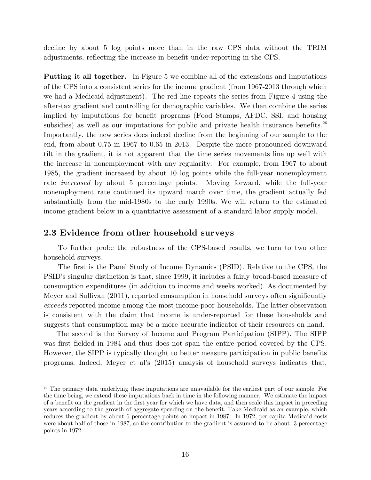decline by about 5 log points more than in the raw CPS data without the TRIM adjustments, reflecting the increase in benefit under-reporting in the CPS.

Putting it all together. In Figure 5 we combine all of the extensions and imputations of the CPS into a consistent series for the income gradient (from 1967-2013 through which we had a Medicaid adjustment). The red line repeats the series from Figure 4 using the after-tax gradient and controlling for demographic variables. We then combine the series implied by imputations for benefit programs (Food Stamps, AFDC, SSI, and housing subsidies) as well as our imputations for public and private health insurance benefits.<sup>[26](#page-15-0)</sup> Importantly, the new series does indeed decline from the beginning of our sample to the end, from about 0.75 in 1967 to 0.65 in 2013. Despite the more pronounced downward tilt in the gradient, it is not apparent that the time series movements line up well with the increase in nonemployment with any regularity. For example, from 1967 to about 1985, the gradient increased by about 10 log points while the full-year nonemployment rate *increased* by about 5 percentage points. Moving forward, while the full-year nonemployment rate continued its upward march over time, the gradient actually fed substantially from the mid-1980s to the early 1990s. We will return to the estimated income gradient below in a quantitative assessment of a standard labor supply model.

#### 2.3 Evidence from other household surveys

 $\overline{a}$ 

 To further probe the robustness of the CPS-based results, we turn to two other household surveys.

 The first is the Panel Study of Income Dynamics (PSID). Relative to the CPS, the PSID's singular distinction is that, since 1999, it includes a fairly broad-based measure of consumption expenditures (in addition to income and weeks worked). As documented by Meyer and Sullivan (2011), reported consumption in household surveys often significantly exceeds reported income among the most income-poor households. The latter observation is consistent with the claim that income is under-reported for these households and suggests that consumption may be a more accurate indicator of their resources on hand.

The second is the Survey of Income and Program Participation (SIPP). The SIPP was first fielded in 1984 and thus does not span the entire period covered by the CPS. However, the SIPP is typically thought to better measure participation in public benefits programs. Indeed, Meyer et al's (2015) analysis of household surveys indicates that,

<span id="page-15-0"></span><sup>&</sup>lt;sup>26</sup> The primary data underlying these imputations are unavailable for the earliest part of our sample. For the time being, we extend these imputations back in time in the following manner. We estimate the impact of a benefit on the gradient in the first year for which we have data, and then scale this impact in preceding years according to the growth of aggregate spending on the benefit. Take Medicaid as an example, which reduces the gradient by about 6 percentage points on impact in 1987. In 1972, per capita Medicaid costs were about half of those in 1987, so the contribution to the gradient is assumed to be about -3 percentage points in 1972.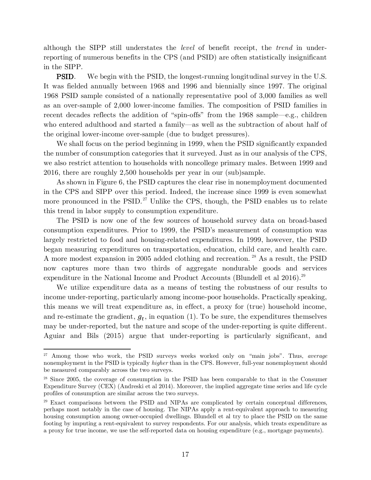although the SIPP still understates the level of benefit receipt, the trend in underreporting of numerous benefits in the CPS (and PSID) are often statistically insignificant in the SIPP.

PSID. We begin with the PSID, the longest-running longitudinal survey in the U.S. It was fielded annually between 1968 and 1996 and biennially since 1997. The original 1968 PSID sample consisted of a nationally representative pool of 3,000 families as well as an over-sample of 2,000 lower-income families. The composition of PSID families in recent decades reflects the addition of "spin-offs" from the 1968 sample—e.g., children who entered adulthood and started a family—as well as the subtraction of about half of the original lower-income over-sample (due to budget pressures).

We shall focus on the period beginning in 1999, when the PSID significantly expanded the number of consumption categories that it surveyed. Just as in our analysis of the CPS, we also restrict attention to households with noncollege primary males. Between 1999 and 2016, there are roughly 2,500 households per year in our (sub)sample.

As shown in Figure 6, the PSID captures the clear rise in nonemployment documented in the CPS and SIPP over this period. Indeed, the increase since 1999 is even somewhat more pronounced in the PSID.<sup>[27](#page-16-0)</sup> Unlike the CPS, though, the PSID enables us to relate this trend in labor supply to consumption expenditure.

The PSID is now one of the few sources of household survey data on broad-based consumption expenditures. Prior to 1999, the PSID's measurement of consumption was largely restricted to food and housing-related expenditures. In 1999, however, the PSID began measuring expenditures on transportation, education, child care, and health care. A more modest expansion in 2005 added clothing and recreation. [28](#page-16-1) As a result, the PSID now captures more than two thirds of aggregate nondurable goods and services expenditure in the National Income and Product Accounts (Blundell et al  $2016$ ).<sup>29</sup>

We utilize expenditure data as a means of testing the robustness of our results to income under-reporting, particularly among income-poor households. Practically speaking, this means we will treat expenditure as, in effect, a proxy for (true) household income, and re-estimate the gradient,  $g_t$ , in equation (1). To be sure, the expenditures themselves may be under-reported, but the nature and scope of the under-reporting is quite different. Aguiar and Bils (2015) argue that under-reporting is particularly significant, and

<span id="page-16-0"></span><sup>&</sup>lt;sup>27</sup> Among those who work, the PSID surveys weeks worked only on "main jobs". Thus, average nonemployment in the PSID is typically *higher* than in the CPS. However, full-year nonemployment should be measured comparably across the two surveys.

<span id="page-16-1"></span><sup>&</sup>lt;sup>28</sup> Since 2005, the coverage of consumption in the PSID has been comparable to that in the Consumer Expenditure Survey (CEX) (Andreski et al 2014). Moreover, the implied aggregate time series and life cycle profiles of consumption are similar across the two surveys.

<span id="page-16-2"></span> $29$  Exact comparisons between the PSID and NIPAs are complicated by certain conceptual differences, perhaps most notably in the case of housing. The NIPAs apply a rent-equivalent approach to measuring housing consumption among owner-occupied dwellings. Blundell et al try to place the PSID on the same footing by imputing a rent-equivalent to survey respondents. For our analysis, which treats expenditure as a proxy for true income, we use the self-reported data on housing expenditure (e.g., mortgage payments).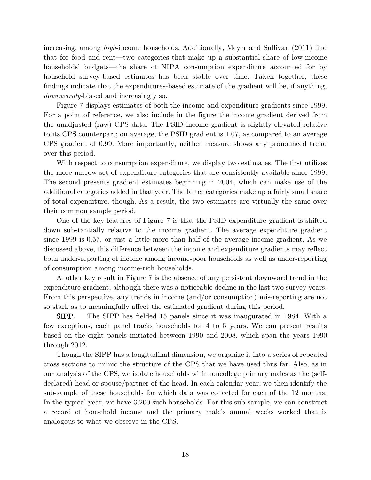increasing, among high-income households. Additionally, Meyer and Sullivan (2011) find that for food and rent—two categories that make up a substantial share of low-income households' budgets—the share of NIPA consumption expenditure accounted for by household survey-based estimates has been stable over time. Taken together, these findings indicate that the expenditures-based estimate of the gradient will be, if anything, downwardly-biased and increasingly so.

Figure 7 displays estimates of both the income and expenditure gradients since 1999. For a point of reference, we also include in the figure the income gradient derived from the unadjusted (raw) CPS data. The PSID income gradient is slightly elevated relative to its CPS counterpart; on average, the PSID gradient is 1.07, as compared to an average CPS gradient of 0.99. More importantly, neither measure shows any pronounced trend over this period.

With respect to consumption expenditure, we display two estimates. The first utilizes the more narrow set of expenditure categories that are consistently available since 1999. The second presents gradient estimates beginning in 2004, which can make use of the additional categories added in that year. The latter categories make up a fairly small share of total expenditure, though. As a result, the two estimates are virtually the same over their common sample period.

One of the key features of Figure 7 is that the PSID expenditure gradient is shifted down substantially relative to the income gradient. The average expenditure gradient since 1999 is 0.57, or just a little more than half of the average income gradient. As we discussed above, this difference between the income and expenditure gradients may reflect both under-reporting of income among income-poor households as well as under-reporting of consumption among income-rich households.

Another key result in Figure 7 is the absence of any persistent downward trend in the expenditure gradient, although there was a noticeable decline in the last two survey years. From this perspective, any trends in income (and/or consumption) mis-reporting are not so stark as to meaningfully affect the estimated gradient during this period.

SIPP. The SIPP has fielded 15 panels since it was inaugurated in 1984. With a few exceptions, each panel tracks households for 4 to 5 years. We can present results based on the eight panels initiated between 1990 and 2008, which span the years 1990 through 2012.

Though the SIPP has a longitudinal dimension, we organize it into a series of repeated cross sections to mimic the structure of the CPS that we have used thus far. Also, as in our analysis of the CPS, we isolate households with noncollege primary males as the (selfdeclared) head or spouse/partner of the head. In each calendar year, we then identify the sub-sample of these households for which data was collected for each of the 12 months. In the typical year, we have 3,200 such households. For this sub-sample, we can construct a record of household income and the primary male's annual weeks worked that is analogous to what we observe in the CPS.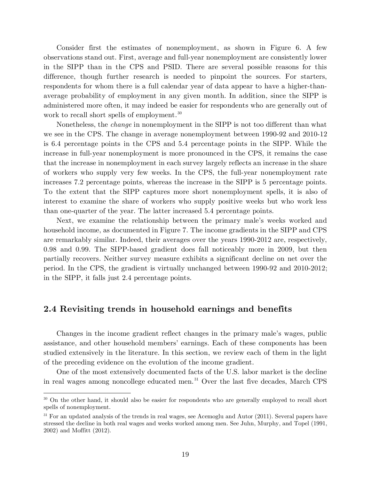Consider first the estimates of nonemployment, as shown in Figure 6. A few observations stand out. First, average and full-year nonemployment are consistently lower in the SIPP than in the CPS and PSID. There are several possible reasons for this difference, though further research is needed to pinpoint the sources. For starters, respondents for whom there is a full calendar year of data appear to have a higher-thanaverage probability of employment in any given month. In addition, since the SIPP is administered more often, it may indeed be easier for respondents who are generally out of work to recall short spells of employment.<sup>[30](#page-18-0)</sup>

Nonetheless, the *change* in nonemployment in the SIPP is not too different than what we see in the CPS. The change in average nonemployment between 1990-92 and 2010-12 is 6.4 percentage points in the CPS and 5.4 percentage points in the SIPP. While the increase in full-year nonemployment is more pronounced in the CPS, it remains the case that the increase in nonemployment in each survey largely reflects an increase in the share of workers who supply very few weeks. In the CPS, the full-year nonemployment rate increases 7.2 percentage points, whereas the increase in the SIPP is 5 percentage points. To the extent that the SIPP captures more short nonemployment spells, it is also of interest to examine the share of workers who supply positive weeks but who work less than one-quarter of the year. The latter increased 5.4 percentage points.

Next, we examine the relationship between the primary male's weeks worked and household income, as documented in Figure 7. The income gradients in the SIPP and CPS are remarkably similar. Indeed, their averages over the years 1990-2012 are, respectively, 0.98 and 0.99. The SIPP-based gradient does fall noticeably more in 2009, but then partially recovers. Neither survey measure exhibits a significant decline on net over the period. In the CPS, the gradient is virtually unchanged between 1990-92 and 2010-2012; in the SIPP, it falls just 2.4 percentage points.

#### 2.4 Revisiting trends in household earnings and benefits

 $\overline{a}$ 

Changes in the income gradient reflect changes in the primary male's wages, public assistance, and other household members' earnings. Each of these components has been studied extensively in the literature. In this section, we review each of them in the light of the preceding evidence on the evolution of the income gradient.

One of the most extensively documented facts of the U.S. labor market is the decline in real wages among noncollege educated men.<sup>[31](#page-18-1)</sup> Over the last five decades, March CPS

<span id="page-18-0"></span><sup>&</sup>lt;sup>30</sup> On the other hand, it should also be easier for respondents who are generally employed to recall short spells of nonemployment.

<span id="page-18-1"></span><sup>&</sup>lt;sup>31</sup> For an updated analysis of the trends in real wages, see Acemoglu and Autor (2011). Several papers have stressed the decline in both real wages and weeks worked among men. See Juhn, Murphy, and Topel (1991, 2002) and Moffitt (2012).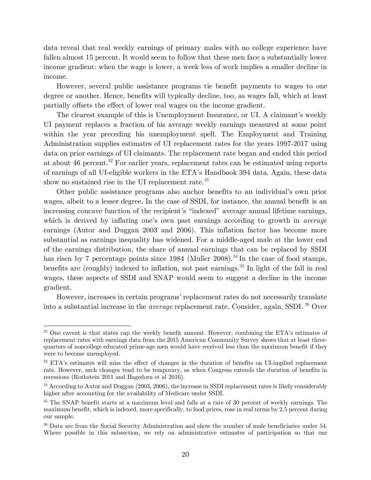data reveal that real weekly earnings of primary males with no college experience have fallen almost 15 percent. It would seem to follow that these men face a substantially lower income gradient: when the wage is lower, a week less of work implies a smaller decline in income.

However, several public assistance programs tie benefit payments to wages to one degree or another. Hence, benefits will typically decline, too, as wages fall, which at least partially offsets the effect of lower real wages on the income gradient.

The clearest example of this is Unemployment Insurance, or UI. A claimant's weekly UI payment replaces a fraction of his average weekly earnings measured at some point within the year preceding his unemployment spell. The Employment and Training Administration supplies estimates of UI replacement rates for the years 1997-2017 using data on prior earnings of UI claimants. The replacement rate began and ended this period at about 46 percent. [32](#page-19-0) For earlier years, replacement rates can be estimated using reports of earnings of all UI-eligible workers in the ETA's Handbook 394 data. Again, these data show no sustained rise in the UI replacement rate.<sup>[33](#page-19-1)</sup>

Other public assistance programs also anchor benefits to an individual's own prior wages, albeit to a lesser degree. In the case of SSDI, for instance, the annual benefit is an increasing concave function of the recipient's "indexed" average annual lifetime earnings, which is derived by inflating one's own past earnings according to growth in *average* earnings (Autor and Duggan 2003 and 2006). This inflation factor has become more substantial as earnings inequality has widened. For a middle-aged male at the lower end of the earnings distribution, the share of annual earnings that can be replaced by SSDI has risen by 7 percentage points since  $1984$  (Muller  $2008$ ).<sup>[34](#page-19-2)</sup> In the case of food stamps, benefits are (roughly) indexed to inflation, not past earnings.<sup>[35](#page-19-3)</sup> In light of the fall in real wages, these aspects of SSDI and SNAP would seem to suggest a decline in the income gradient.

However, increases in certain programs' replacement rates do not necessarily translate into a substantial increase in the average replacement rate. Consider, again, SSDI. [36](#page-19-4) Over

<span id="page-19-0"></span><sup>&</sup>lt;sup>32</sup> One caveat is that states cap the weekly benefit amount. However, combining the ETA's estimates of replacement rates with earnings data from the 2015 American Community Survey shows that at least threequarters of noncollege educated prime-age men would have received less than the maximum benefit if they were to become unemployed.

<span id="page-19-1"></span><sup>&</sup>lt;sup>33</sup> ETA's estimates will miss the effect of changes in the duration of benefits on UI-implied replacement rate. However, such changes tend to be temporary, as when Congress extends the duration of benefits in recessions (Rothstein 2011 and Hagedorn et al 2016).

<span id="page-19-2"></span><sup>&</sup>lt;sup>34</sup> According to Autor and Duggan (2003, 2006), the increase in SSDI replacement rates is likely considerably higher after accounting for the availability of Medicare under SSDI.

<span id="page-19-3"></span><sup>35</sup> The SNAP benefit starts at a maximum level and falls at a rate of 30 percent of weekly earnings. The maximum benefit, which is indexed, more specifically, to food prices, rose in real terms by 2.5 percent during our sample.

<span id="page-19-4"></span><sup>36</sup> Data are from the Social Security Administration and show the number of male beneficiaries under 54. Where possible in this subsection, we rely on administrative estimates of participation so that our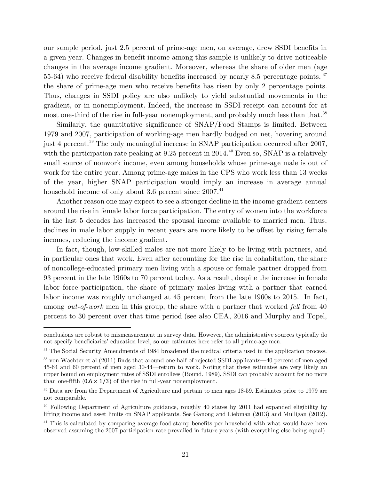our sample period, just 2.5 percent of prime-age men, on average, drew SSDI benefits in a given year. Changes in benefit income among this sample is unlikely to drive noticeable changes in the average income gradient. Moreover, whereas the share of older men (age 55-64) who receive federal disability benefits increased by nearly 8.5 percentage points,  $37$ the share of prime-age men who receive benefits has risen by only 2 percentage points. Thus, changes in SSDI policy are also unlikely to yield substantial movements in the gradient, or in nonemployment. Indeed, the increase in SSDI receipt can account for at most one-third of the rise in full-year nonemployment, and probably much less than that.<sup>[38](#page-20-1)</sup>

Similarly, the quantitative significance of SNAP/Food Stamps is limited. Between 1979 and 2007, participation of working-age men hardly budged on net, hovering around just 4 percent. [39](#page-20-2) The only meaningful increase in SNAP participation occurred after 2007, with the participation rate peaking at 9.25 percent in 2014.<sup>[40](#page-20-3)</sup> Even so, SNAP is a relatively small source of nonwork income, even among households whose prime-age male is out of work for the entire year. Among prime-age males in the CPS who work less than 13 weeks of the year, higher SNAP participation would imply an increase in average annual household income of only about 3.6 percent since 2007.<sup>[41](#page-20-4)</sup>

Another reason one may expect to see a stronger decline in the income gradient centers around the rise in female labor force participation. The entry of women into the workforce in the last 5 decades has increased the spousal income available to married men. Thus, declines in male labor supply in recent years are more likely to be offset by rising female incomes, reducing the income gradient.

In fact, though, low-skilled males are not more likely to be living with partners, and in particular ones that work. Even after accounting for the rise in cohabitation, the share of noncollege-educated primary men living with a spouse or female partner dropped from 93 percent in the late 1960s to 70 percent today. As a result, despite the increase in female labor force participation, the share of primary males living with a partner that earned labor income was roughly unchanged at 45 percent from the late 1960s to 2015. In fact, among *out-of-work* men in this group, the share with a partner that worked fell from 40 percent to 30 percent over that time period (see also CEA, 2016 and Murphy and Topel,

conclusions are robust to mismeasurement in survey data. However, the administrative sources typically do not specify beneficiaries' education level, so our estimates here refer to all prime-age men.

<span id="page-20-0"></span><sup>&</sup>lt;sup>37</sup> The Social Security Amendments of 1984 broadened the medical criteria used in the application process.

<span id="page-20-1"></span><sup>38</sup> von Wachter et al (2011) finds that around one-half of rejected SSDI applicants—40 percent of men aged 45-64 and 60 percent of men aged 30-44—return to work. Noting that these estimates are very likely an upper bound on employment rates of SSDI enrollees (Bound, 1989), SSDI can probably account for no more than one-fifth  $(0.6 \times 1/3)$  of the rise in full-year nonemployment.

<span id="page-20-2"></span><sup>&</sup>lt;sup>39</sup> Data are from the Department of Agriculture and pertain to men ages 18-59. Estimates prior to 1979 are not comparable.

<span id="page-20-3"></span><sup>&</sup>lt;sup>40</sup> Following Department of Agriculture guidance, roughly 40 states by 2011 had expanded eligibility by lifting income and asset limits on SNAP applicants. See Ganong and Liebman (2013) and Mulligan (2012).

<span id="page-20-4"></span><sup>&</sup>lt;sup>41</sup> This is calculated by comparing average food stamp benefits per household with what would have been observed assuming the 2007 participation rate prevailed in future years (with everything else being equal).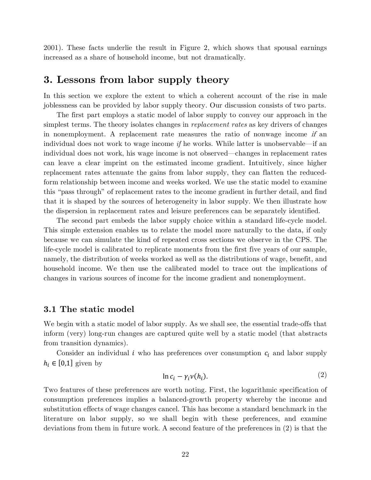2001). These facts underlie the result in Figure 2, which shows that spousal earnings increased as a share of household income, but not dramatically.

## <span id="page-21-0"></span>3. Lessons from labor supply theory

In this section we explore the extent to which a coherent account of the rise in male joblessness can be provided by labor supply theory. Our discussion consists of two parts.

The first part employs a static model of labor supply to convey our approach in the simplest terms. The theory isolates changes in *replacement rates* as key drivers of changes in nonemployment. A replacement rate measures the ratio of nonwage income if an individual does not work to wage income if he works. While latter is unobservable—if an individual does not work, his wage income is not observed—changes in replacement rates can leave a clear imprint on the estimated income gradient. Intuitively, since higher replacement rates attenuate the gains from labor supply, they can flatten the reducedform relationship between income and weeks worked. We use the static model to examine this "pass through" of replacement rates to the income gradient in further detail, and find that it is shaped by the sources of heterogeneity in labor supply. We then illustrate how the dispersion in replacement rates and leisure preferences can be separately identified.

The second part embeds the labor supply choice within a standard life-cycle model. This simple extension enables us to relate the model more naturally to the data, if only because we can simulate the kind of repeated cross sections we observe in the CPS. The life-cycle model is calibrated to replicate moments from the first five years of our sample, namely, the distribution of weeks worked as well as the distributions of wage, benefit, and household income. We then use the calibrated model to trace out the implications of changes in various sources of income for the income gradient and nonemployment.

#### 3.1 The static model

We begin with a static model of labor supply. As we shall see, the essential trade-offs that inform (very) long-run changes are captured quite well by a static model (that abstracts from transition dynamics).

Consider an individual *i* who has preferences over consumption  $c_i$  and labor supply  $h_i \in [0,1]$  given by

<span id="page-21-1"></span>
$$
\ln c_i - \gamma_i v(h_i). \tag{2}
$$

Two features of these preferences are worth noting. First, the logarithmic specification of consumption preferences implies a balanced-growth property whereby the income and substitution effects of wage changes cancel. This has become a standard benchmark in the literature on labor supply, so we shall begin with these preferences, and examine deviations from them in future work. A second feature of the preferences in [\(2\)](#page-21-1) is that the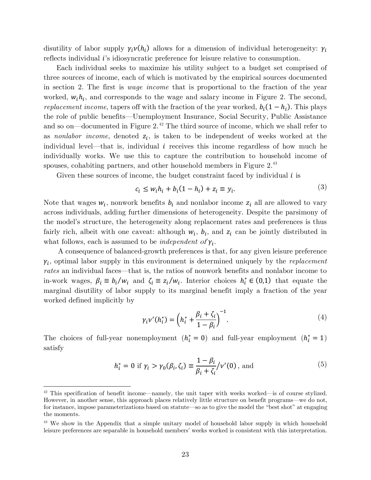disutility of labor supply  $\gamma_i v(h_i)$  allows for a dimension of individual heterogeneity:  $\gamma_i$ reflects individual 's idiosyncratic preference for leisure relative to consumption.

Each individual seeks to maximize his utility subject to a budget set comprised of three sources of income, each of which is motivated by the empirical sources documented in section [2.](#page-5-1) The first is wage income that is proportional to the fraction of the year worked,  $w_i h_i$ , and corresponds to the wage and salary income in Figure [2.](#page-36-0) The second, replacement income, tapers off with the fraction of the year worked,  $b_i(1 - h_i)$ . This plays the role of public benefits—Unemployment Insurance, Social Security, Public Assistance and so on—documented in Figure [2.](#page-36-0)<sup>[42](#page-22-0)</sup> The third source of income, which we shall refer to as nonlabor income, denoted  $z_i$ , is taken to be independent of weeks worked at the individual level—that is, individual  $i$  receives this income regardless of how much he individually works. We use this to capture the contribution to household income of spouses, cohabiting partners, and other household members in Figure [2.](#page-36-0)<sup>[43](#page-22-1)</sup>

Given these sources of income, the budget constraint faced by individual  $i$  is

$$
c_i \le w_i h_i + b_i (1 - h_i) + z_i \equiv y_i. \tag{3}
$$

Note that wages  $w_i$ , nonwork benefits  $b_i$  and nonlabor income  $z_i$  all are allowed to vary across individuals, adding further dimensions of heterogeneity. Despite the parsimony of the model's structure, the heterogeneity along replacement rates and preferences is thus fairly rich, albeit with one caveat: although  $w_i$ ,  $b_i$ , and  $z_i$  can be jointly distributed in what follows, each is assumed to be *independent of*  $\gamma_i$ .

 A consequence of balanced-growth preferences is that, for any given leisure preference  $\gamma_i$ , optimal labor supply in this environment is determined uniquely by the replacement rates an individual faces—that is, the ratios of nonwork benefits and nonlabor income to in-work wages,  $\beta_i \equiv b_i/w_i$  and  $\zeta_i \equiv z_i/w_i$ . Interior choices  $h_i^* \in (0,1)$  that equate the marginal disutility of labor supply to its marginal benefit imply a fraction of the year worked defined implicitly by

$$
\gamma_i \nu'(h_i^*) = \left(h_i^* + \frac{\beta_i + \zeta_i}{1 - \beta_i}\right)^{-1}.
$$
\n(4)

The choices of full-year nonemployment  $(h_i^* = 0)$  and full-year employment  $(h_i^* = 1)$ satisfy

$$
h_i^* = 0 \text{ if } \gamma_i > \gamma_0(\beta_i, \zeta_i) \equiv \frac{1 - \beta_i}{\beta_i + \zeta_i} / \nu'(0), \text{ and } \tag{5}
$$

<span id="page-22-0"></span> $42$  This specification of benefit income—namely, the unit taper with weeks worked—is of course stylized. However, in another sense, this approach places relatively little structure on benefit programs—we do not, for instance, impose parameterizations based on statute—so as to give the model the "best shot" at engaging the moments.

<span id="page-22-1"></span><sup>&</sup>lt;sup>43</sup> We show in the Appendix that a simple unitary model of household labor supply in which household leisure preferences are separable in household members' weeks worked is consistent with this interpretation.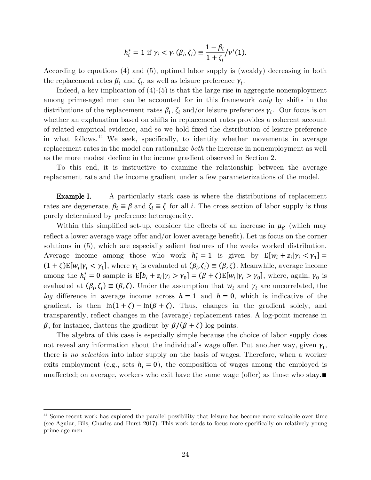$$
h_i^* = 1
$$
 if  $\gamma_i < \gamma_1(\beta_i, \zeta_i) \equiv \frac{1 - \beta_i}{1 + \zeta_i}/v'(1)$ .

According to equations (4) and (5), optimal labor supply is (weakly) decreasing in both the replacement rates  $\beta_i$  and  $\zeta_i$ , as well as leisure preference  $\gamma_i$ .

Indeed, a key implication of  $(4)-(5)$  is that the large rise in aggregate nonemployment among prime-aged men can be accounted for in this framework only by shifts in the distributions of the replacement rates  $\beta_i$ ,  $\zeta_i$  and/or leisure preferences  $\gamma_i$ . Our focus is on whether an explanation based on shifts in replacement rates provides a coherent account of related empirical evidence, and so we hold fixed the distribution of leisure preference in what follows. [44](#page-23-0) We seek, specifically, to identify whether movements in average replacement rates in the model can rationalize both the increase in nonemployment as well as the more modest decline in the income gradient observed in Section 2.

To this end, it is instructive to examine the relationship between the average replacement rate and the income gradient under a few parameterizations of the model.

**Example I.** A particularly stark case is where the distributions of replacement rates are degenerate,  $\beta_i \equiv \beta$  and  $\zeta_i \equiv \zeta$  for all *i*. The cross section of labor supply is thus purely determined by preference heterogeneity.

Within this simplified set-up, consider the effects of an increase in  $\mu_{\beta}$  (which may reflect a lower average wage offer and/or lower average benefit). Let us focus on the corner solutions in (5), which are especially salient features of the weeks worked distribution. Average income among those who work  $h_i^* = 1$  is given by  $E[w_i + z_i | \gamma_i < \gamma_1] =$  $(1 + \zeta)E[w_i|\gamma_i < \gamma_1]$ , where  $\gamma_1$  is evaluated at  $(\beta_i, \zeta_i) \equiv (\beta, \zeta)$ . Meanwhile, average income among the  $h_i^* = 0$  sample is  $E[b_i + z_i | \gamma_i > \gamma_0] = (\beta + \zeta)E[w_i | \gamma_i > \gamma_0]$ , where, again,  $\gamma_0$  is evaluated at  $(\beta_i, \zeta_i) \equiv (\beta, \zeta)$ . Under the assumption that  $w_i$  and  $\gamma_i$  are uncorrelated, the log difference in average income across  $h = 1$  and  $h = 0$ , which is indicative of the gradient, is then  $\ln(1 + \zeta) - \ln(\beta + \zeta)$ . Thus, changes in the gradient solely, and transparently, reflect changes in the (average) replacement rates. A log-point increase in  $\beta$ , for instance, flattens the gradient by  $\beta/(\beta + \zeta)$  log points.

The algebra of this case is especially simple because the choice of labor supply does not reveal any information about the individual's wage offer. Put another way, given  $\gamma_i$ , there is no selection into labor supply on the basis of wages. Therefore, when a worker exits employment (e.g., sets  $h_i = 0$ ), the composition of wages among the employed is unaffected; on average, workers who exit have the same wage (offer) as those who stay.∎

<span id="page-23-0"></span><sup>&</sup>lt;sup>44</sup> Some recent work has explored the parallel possibility that leisure has become more valuable over time (see Aguiar, Bils, Charles and Hurst 2017). This work tends to focus more specifically on relatively young prime-age men.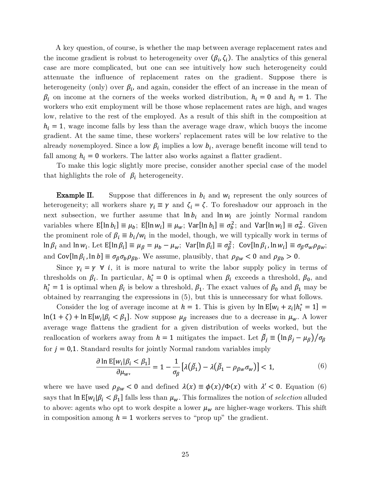A key question, of course, is whether the map between average replacement rates and the income gradient is robust to heterogeneity over  $(\beta_i, \zeta_i)$ . The analytics of this general case are more complicated, but one can see intuitively how such heterogeneity could attenuate the influence of replacement rates on the gradient. Suppose there is heterogeneity (only) over  $\beta_i$ , and again, consider the effect of an increase in the mean of  $\beta_i$  on income at the corners of the weeks worked distribution,  $h_i = 0$  and  $h_i = 1$ . The workers who exit employment will be those whose replacement rates are high, and wages low, relative to the rest of the employed. As a result of this shift in the composition at  $h_i = 1$ , wage income falls by less than the average wage draw, which buoys the income gradient. At the same time, these workers' replacement rates will be low relative to the already nonemployed. Since a low  $\beta_i$  implies a low  $b_i$ , average benefit income will tend to fall among  $h_i = 0$  workers. The latter also works against a flatter gradient.

To make this logic slightly more precise, consider another special case of the model that highlights the role of  $\beta_i$  heterogeneity.

**Example II.** Suppose that differences in  $b_i$  and  $w_i$  represent the only sources of heterogeneity; all workers share  $\gamma_i \equiv \gamma$  and  $\zeta_i = \zeta$ . To foreshadow our approach in the next subsection, we further assume that  $\ln b_i$  and  $\ln w_i$  are jointly Normal random variables where  $E[\ln b_i] \equiv \mu_b$ ;  $E[\ln w_i] \equiv \mu_w$ ;  $Var[\ln b_i] \equiv \sigma_b^2$ ; and  $Var[\ln w_i] \equiv \sigma_w^2$ . Given the prominent role of  $\beta_i \equiv b_i/w_i$  in the model, though, we will typically work in terms of  $\ln \beta_i$  and  $\ln w_i$ . Let  $E[\ln \beta_i] \equiv \mu_\beta = \mu_b - \mu_w$ ;  $Var[\ln \beta_i] \equiv \sigma_\beta^2$ ;  $Cov[\ln \beta_i$ ,  $\ln w_i] \equiv \sigma_\beta \sigma_w \rho_{\beta w}$ ; and  $Cov[\ln \beta_i$ ,  $\ln b] \equiv \sigma_\beta \sigma_b \rho_{\beta b}$ . We assume, plausibly, that  $\rho_{\beta w} < 0$  and  $\rho_{\beta b} > 0$ .

Since  $\gamma_i = \gamma \ \forall i$ , it is more natural to write the labor supply policy in terms of thresholds on  $\beta_i$ . In particular,  $h_i^* = 0$  is optimal when  $\beta_i$  exceeds a threshold,  $\beta_0$ , and  $h_i^* = 1$  is optimal when  $\beta_i$  is below a threshold,  $\beta_1$ . The exact values of  $\beta_0$  and  $\beta_1$  may be obtained by rearranging the expressions in (5), but this is unnecessary for what follows.

Consider the log of average income at  $h = 1$ . This is given by  $\ln E[w_i + z_i|h_i^* = 1] =$  $\ln(1+\zeta) + \ln E[w_i|\beta_i \leq \beta_1].$  Now suppose  $\mu_\beta$  increases due to a decrease in  $\mu_w$ . A lower average wage flattens the gradient for a given distribution of weeks worked, but the reallocation of workers away from  $h = 1$  mitigates the impact. Let  $\tilde{\beta}_j \equiv (\ln \beta_j - \mu_\beta)/\sigma_\beta$ for  $j = 0,1$ . Standard results for jointly Normal random variables imply

$$
\frac{\partial \ln E[w_i|\beta_i < \beta_1]}{\partial \mu_w} = 1 - \frac{1}{\sigma_\beta} \left[ \lambda(\beta_1) - \lambda(\beta_1 - \rho_{\beta w} \sigma_w) \right] < 1,\tag{6}
$$

where we have used  $\rho_{\beta w} < 0$  and defined  $\lambda(x) \equiv \phi(x)/\Phi(x)$  with  $\lambda' < 0$ . Equation (6) says that  $\ln E[w_i|\beta_i \leq \beta_1]$  falls less than  $\mu_w$ . This formalizes the notion of *selection* alluded to above: agents who opt to work despite a lower  $\mu_w$  are higher-wage workers. This shift in composition among  $h = 1$  workers serves to "prop up" the gradient.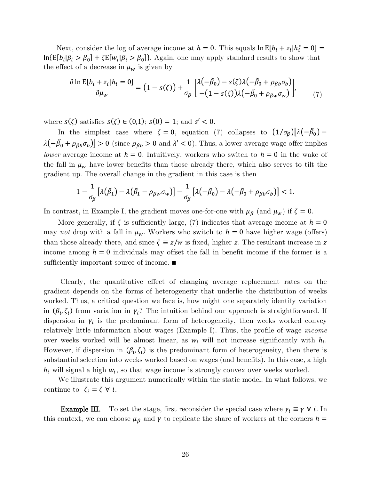Next, consider the log of average income at  $h = 0$ . This equals  $\ln E[b_i + z_i | h_i^* = 0] =$  $\ln\{\mathbb{E}[b_i|\beta_i > \beta_0] + \zeta \mathbb{E}[w_i|\beta_i > \beta_0]\}\$ . Again, one may apply standard results to show that the effect of a decrease in  $\mu_w$  is given by

$$
\frac{\partial \ln \mathbb{E}[b_i + z_i | h_i = 0]}{\partial \mu_w} = (1 - s(\zeta)) + \frac{1}{\sigma_\beta} \left[ \frac{\lambda(-\tilde{\beta}_0) - s(\zeta)\lambda(-\tilde{\beta}_0 + \rho_{\beta b}\sigma_b)}{-(1 - s(\zeta))\lambda(-\tilde{\beta}_0 + \rho_{\beta w}\sigma_w)} \right],\tag{7}
$$

where  $s(\zeta)$  satisfies  $s(\zeta) \in (0,1)$ ;  $s(0) = 1$ ; and  $s' < 0$ .

In the simplest case where  $\zeta = 0$ , equation (7) collapses to  $(1/\sigma_{\beta})[ \lambda(-\beta_0) \lambda(-\beta_0 + \rho_{\beta b}\sigma_b)$  > 0 (since  $\rho_{\beta b}$  > 0 and  $\lambda'$  < 0). Thus, a lower average wage offer implies lower average income at  $h = 0$ . Intuitively, workers who switch to  $h = 0$  in the wake of the fall in  $\mu_w$  have lower benefits than those already there, which also serves to tilt the gradient up. The overall change in the gradient in this case is then

$$
1 - \frac{1}{\sigma_{\beta}} [\lambda(\beta_1) - \lambda(\beta_1 - \rho_{\beta w} \sigma_w)] - \frac{1}{\sigma_{\beta}} [\lambda(-\beta_0) - \lambda(-\beta_0 + \rho_{\beta b} \sigma_b)] < 1.
$$

In contrast, in Example I, the gradient moves one-for-one with  $\mu_{\beta}$  (and  $\mu_{w}$ ) if  $\zeta = 0$ .

More generally, if  $\zeta$  is sufficiently large, (7) indicates that average income at  $h = 0$ may not drop with a fall in  $\mu_w$ . Workers who switch to  $h = 0$  have higher wage (offers) than those already there, and since  $\zeta \equiv z/w$  is fixed, higher z. The resultant increase in z income among  $h = 0$  individuals may offset the fall in benefit income if the former is a sufficiently important source of income. ∎

 Clearly, the quantitative effect of changing average replacement rates on the gradient depends on the forms of heterogeneity that underlie the distribution of weeks worked. Thus, a critical question we face is, how might one separately identify variation in  $(\beta_i, \zeta_i)$  from variation in  $\gamma_i$ ? The intuition behind our approach is straightforward. If dispersion in  $\gamma_i$  is the predominant form of heterogeneity, then weeks worked convey relatively little information about wages (Example I). Thus, the profile of wage *income* over weeks worked will be almost linear, as  $w_i$  will not increase significantly with  $h_i$ . However, if dispersion in  $(\beta_i, \zeta_i)$  is the predominant form of heterogeneity, then there is substantial selection into weeks worked based on wages (and benefits). In this case, a high  $h_i$  will signal a high  $w_i$ , so that wage income is strongly convex over weeks worked.

 We illustrate this argument numerically within the static model. In what follows, we continue to  $\zeta_i = \zeta \forall i$ .

**Example III.** To set the stage, first reconsider the special case where  $\gamma_i \equiv \gamma \forall i$ . In this context, we can choose  $\mu_{\beta}$  and  $\gamma$  to replicate the share of workers at the corners  $h =$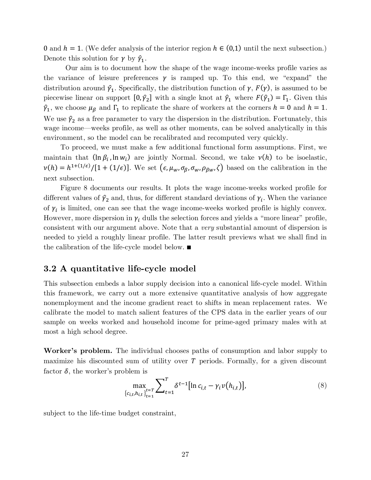0 and  $h = 1$ . (We defer analysis of the interior region  $h \in (0,1)$  until the next subsection.) Denote this solution for  $\gamma$  by  $\hat{\gamma}_1$ .

Our aim is to document how the shape of the wage income-weeks profile varies as the variance of leisure preferences  $\gamma$  is ramped up. To this end, we "expand" the distribution around  $\hat{\gamma}_1$ . Specifically, the distribution function of  $\gamma$ ,  $F(\gamma)$ , is assumed to be piecewise linear on support  $[0, \hat{\gamma}_2]$  with a single knot at  $\hat{\gamma}_1$  where  $F(\hat{\gamma}_1) = \Gamma_1$ . Given this  $\hat{\gamma}_1$ , we choose  $\mu_\beta$  and  $\Gamma_1$  to replicate the share of workers at the corners  $h = 0$  and  $h = 1$ . We use  $\hat{\gamma}_2$  as a free parameter to vary the dispersion in the distribution. Fortunately, this wage income—weeks profile, as well as other moments, can be solved analytically in this environment, so the model can be recalibrated and recomputed very quickly.

 To proceed, we must make a few additional functional form assumptions. First, we maintain that  $(\ln \beta_i, \ln w_i)$  are jointly Normal. Second, we take  $v(h)$  to be isoelastic,  $\nu(h) = h^{1+(1/\epsilon)}/[1+(1/\epsilon)]$ . We set  $(\epsilon, \mu_w, \sigma_\beta, \sigma_w, \rho_{\beta w}, \zeta)$  based on the calibration in the next subsection.

 Figure 8 documents our results. It plots the wage income-weeks worked profile for different values of  $\hat{\gamma}_2$  and, thus, for different standard deviations of  $\gamma_i$ . When the variance of  $\gamma_i$  is limited, one can see that the wage income-weeks worked profile is highly convex. However, more dispersion in  $\gamma_i$  dulls the selection forces and yields a "more linear" profile, consistent with our argument above. Note that a very substantial amount of dispersion is needed to yield a roughly linear profile. The latter result previews what we shall find in the calibration of the life-cycle model below. ∎

#### 3.2 A quantitative life-cycle model

This subsection embeds a labor supply decision into a canonical life-cycle model. Within this framework, we carry out a more extensive quantitative analysis of how aggregate nonemployment and the income gradient react to shifts in mean replacement rates. We calibrate the model to match salient features of the CPS data in the earlier years of our sample on weeks worked and household income for prime-aged primary males with at most a high school degree.

Worker's problem. The individual chooses paths of consumption and labor supply to maximize his discounted sum of utility over  $T$  periods. Formally, for a given discount factor  $\delta$ , the worker's problem is

$$
\max_{\{c_{i,t}, h_{i,t}\}_{t=1}^{t=T}} \sum_{t=1}^{T} \delta^{t-1} [\ln c_{i,t} - \gamma_i v(h_{i,t})],
$$
\n(8)

subject to the life-time budget constraint,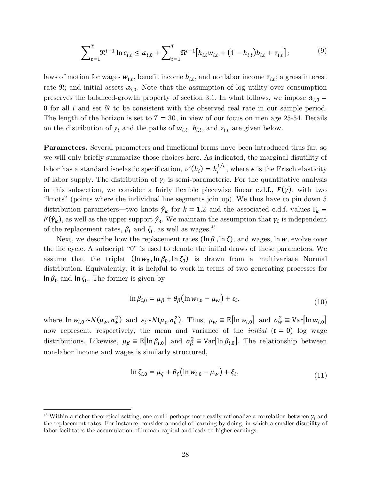$$
\sum_{t=1}^{T} \mathfrak{N}^{t-1} \ln c_{i,t} \le a_{i,0} + \sum_{t=1}^{T} \mathfrak{N}^{t-1} \left[ h_{i,t} w_{i,t} + (1 - h_{i,t}) b_{i,t} + z_{i,t} \right];
$$
 (9)

laws of motion for wages  $w_{i,t}$ , benefit income  $b_{i,t}$ , and nonlabor income  $z_{i,t}$ ; a gross interest rate  $\mathfrak{R}$ ; and initial assets  $a_{i,0}$ . Note that the assumption of log utility over consumption preserves the balanced-growth property of section 3.1. In what follows, we impose  $a_{i,0} =$ 0 for all  $i$  and set  $\Re$  to be consistent with the observed real rate in our sample period. The length of the horizon is set to  $T = 30$ , in view of our focus on men age 25-54. Details on the distribution of  $\gamma_i$  and the paths of  $w_{i,t}$ ,  $b_{i,t}$ , and  $z_{i,t}$  are given below.

Parameters. Several parameters and functional forms have been introduced thus far, so we will only briefly summarize those choices here. As indicated, the marginal disutility of labor has a standard isoelastic specification,  $v'(h_i) = h_i^{1/\epsilon}$ , where  $\epsilon$  is the Frisch elasticity of labor supply. The distribution of  $\gamma_i$  is semi-parameteric. For the quantitative analysis in this subsection, we consider a fairly flexible piecewise linear c.d.f.,  $F(\gamma)$ , with two "knots" (points where the individual line segments join up). We thus have to pin down 5 distribution parameters—two knots  $\hat{\gamma}_k$  for  $k = 1,2$  and the associated c.d.f. values  $\Gamma_k \equiv$  $F(\hat{\gamma}_k)$ , as well as the upper support  $\hat{\gamma}_3$ . We maintain the assumption that  $\gamma_i$  is independent of the replacement rates,  $\beta_i$  and  $\zeta_i$ , as well as wages.<sup>[45](#page-27-0)</sup>

Next, we describe how the replacement rates  $(\ln \beta, \ln \zeta)$ , and wages,  $\ln w$ , evolve over the life cycle. A subscript "0" is used to denote the initial draws of these parameters. We assume that the triplet  $(\ln w_0, \ln \beta_0, \ln \zeta_0)$  is drawn from a multivariate Normal distribution. Equivalently, it is helpful to work in terms of two generating processes for  $\ln \beta_0$  and  $\ln \zeta_0$ . The former is given by

$$
\ln \beta_{i,0} = \mu_\beta + \theta_\beta \left( \ln w_{i,0} - \mu_w \right) + \varepsilon_i, \tag{10}
$$

where  $\ln w_{i,0} \sim N(\mu_w, \sigma_w^2)$  and  $\varepsilon_i \sim N(\mu_{\varepsilon}, \sigma_{\varepsilon}^2)$ . Thus,  $\mu_w \equiv E[\ln w_{i,0}]$  and  $\sigma_w^2 \equiv \text{Var}[\ln w_{i,0}]$ now represent, respectively, the mean and variance of the *initial*  $(t = 0)$  log wage distributions. Likewise,  $\mu_{\beta} \equiv E[\ln \beta_{i,0}]$  and  $\sigma_{\beta}^2 \equiv Var[\ln \beta_{i,0}]$ . The relationship between non-labor income and wages is similarly structured,

$$
\ln \zeta_{i,0} = \mu_{\zeta} + \theta_{\zeta} (\ln w_{i,0} - \mu_w) + \xi_i,
$$
\n(11)

<span id="page-27-0"></span><sup>&</sup>lt;sup>45</sup> Within a richer theoretical setting, one could perhaps more easily rationalize a correlation between  $\gamma_i$  and the replacement rates. For instance, consider a model of learning by doing, in which a smaller disutility of labor facilitates the accumulation of human capital and leads to higher earnings.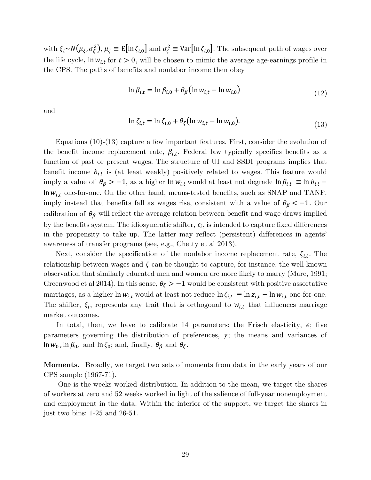with  $\xi_i \sim N(\mu_{\xi}, \sigma_{\xi}^2), \mu_{\zeta} \equiv E[\ln \zeta_{i,0}]$  and  $\sigma_{\zeta}^2 \equiv Var[\ln \zeta_{i,0}]$ . The subsequent path of wages over the life cycle,  $\ln w_{i,t}$  for  $t > 0$ , will be chosen to mimic the average age-earnings profile in the CPS. The paths of benefits and nonlabor income then obey

$$
\ln \beta_{i,t} = \ln \beta_{i,0} + \theta_{\beta} \left( \ln w_{i,t} - \ln w_{i,0} \right)
$$
\n(12)

and

$$
\ln \zeta_{i,t} = \ln \zeta_{i,0} + \theta_{\zeta} (\ln w_{i,t} - \ln w_{i,0}).
$$
\n(13)

 Equations (10)-(13) capture a few important features. First, consider the evolution of the benefit income replacement rate,  $\beta_{i,t}$ . Federal law typically specifies benefits as a function of past or present wages. The structure of UI and SSDI programs implies that benefit income  $b_{i,t}$  is (at least weakly) positively related to wages. This feature would imply a value of  $\theta_{\beta} > -1$ , as a higher ln  $w_{i,t}$  would at least not degrade  $\ln \beta_{i,t} \equiv \ln b_{i,t}$  –  $\ln w_{i,t}$  one-for-one. On the other hand, means-tested benefits, such as SNAP and TANF, imply instead that benefits fall as wages rise, consistent with a value of  $\theta_{\beta} < -1$ . Our calibration of  $\theta_{\beta}$  will reflect the average relation between benefit and wage draws implied by the benefits system. The idiosyncratic shifter,  $\varepsilon_i$ , is intended to capture fixed differences in the propensity to take up. The latter may reflect (persistent) differences in agents' awareness of transfer programs (see, e.g., Chetty et al 2013).

Next, consider the specification of the nonlabor income replacement rate,  $\zeta_{i,t}$ . The relationship between wages and  $\zeta$  can be thought to capture, for instance, the well-known observation that similarly educated men and women are more likely to marry (Mare, 1991; Greenwood et al 2014). In this sense,  $\theta_{\zeta} > -1$  would be consistent with positive assortative marriages, as a higher  $\ln w_{i,t}$  would at least not reduce  $\ln \zeta_{i,t} \equiv \ln z_{i,t} - \ln w_{i,t}$  one-for-one. The shifter,  $\xi_i$ , represents any trait that is orthogonal to  $w_{i,t}$  that influences marriage market outcomes.

In total, then, we have to calibrate 14 parameters: the Frisch elasticity,  $\epsilon$ ; five parameters governing the distribution of preferences,  $\gamma$ ; the means and variances of  $\ln w_0$  ,  $\ln \beta_0$  , and  $\ln \zeta_0$ ; and, finally,  $\theta_\beta$  and  $\theta_\zeta$ .

Moments. Broadly, we target two sets of moments from data in the early years of our CPS sample (1967-71).

 One is the weeks worked distribution. In addition to the mean, we target the shares of workers at zero and 52 weeks worked in light of the salience of full-year nonemployment and employment in the data. Within the interior of the support, we target the shares in just two bins: 1-25 and 26-51.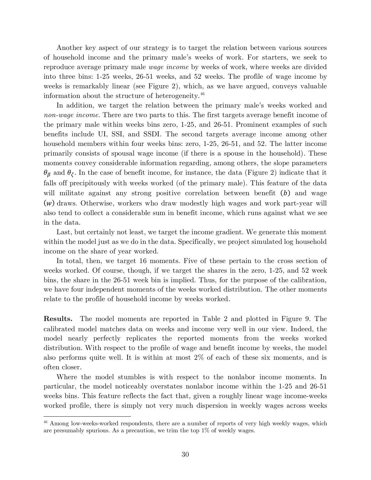Another key aspect of our strategy is to target the relation between various sources of household income and the primary male's weeks of work. For starters, we seek to reproduce average primary male wage income by weeks of work, where weeks are divided into three bins: 1-25 weeks, 26-51 weeks, and 52 weeks. The profile of wage income by weeks is remarkably linear (see Figure 2), which, as we have argued, conveys valuable information about the structure of heterogeneity.[46](#page-29-0)

In addition, we target the relation between the primary male's weeks worked and non-wage income. There are two parts to this. The first targets average benefit income of the primary male within weeks bins zero, 1-25, and 26-51. Prominent examples of such benefits include UI, SSI, and SSDI. The second targets average income among other household members within four weeks bins: zero, 1-25, 26-51, and 52. The latter income primarily consists of spousal wage income (if there is a spouse in the household). These moments convey considerable information regarding, among others, the slope parameters  $\theta_{\beta}$  and  $\theta_{\zeta}$ . In the case of benefit income, for instance, the data (Figure 2) indicate that it falls off precipitously with weeks worked (of the primary male). This feature of the data will militate against any strong positive correlation between benefit  $(b)$  and wage  $(w)$  draws. Otherwise, workers who draw modestly high wages and work part-year will also tend to collect a considerable sum in benefit income, which runs against what we see in the data.

Last, but certainly not least, we target the income gradient. We generate this moment within the model just as we do in the data. Specifically, we project simulated log household income on the share of year worked.

In total, then, we target 16 moments. Five of these pertain to the cross section of weeks worked. Of course, though, if we target the shares in the zero, 1-25, and 52 week bins, the share in the 26-51 week bin is implied. Thus, for the purpose of the calibration, we have four independent moments of the weeks worked distribution. The other moments relate to the profile of household income by weeks worked.

Results. The model moments are reported in Table 2 and plotted in Figure 9. The calibrated model matches data on weeks and income very well in our view. Indeed, the model nearly perfectly replicates the reported moments from the weeks worked distribution. With respect to the profile of wage and benefit income by weeks, the model also performs quite well. It is within at most 2% of each of these six moments, and is often closer.

Where the model stumbles is with respect to the nonlabor income moments. In particular, the model noticeably overstates nonlabor income within the 1-25 and 26-51 weeks bins. This feature reflects the fact that, given a roughly linear wage income-weeks worked profile, there is simply not very much dispersion in weekly wages across weeks

<span id="page-29-0"></span><sup>&</sup>lt;sup>46</sup> Among low-weeks-worked respondents, there are a number of reports of very high weekly wages, which are presumably spurious. As a precaution, we trim the top 1% of weekly wages.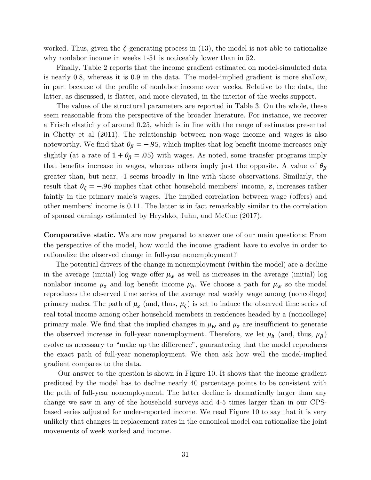worked. Thus, given the  $\zeta$ -generating process in (13), the model is not able to rationalize why nonlabor income in weeks 1-51 is noticeably lower than in 52.

Finally, Table 2 reports that the income gradient estimated on model-simulated data is nearly 0.8, whereas it is 0.9 in the data. The model-implied gradient is more shallow, in part because of the profile of nonlabor income over weeks. Relative to the data, the latter, as discussed, is flatter, and more elevated, in the interior of the weeks support.

The values of the structural parameters are reported in Table 3. On the whole, these seem reasonable from the perspective of the broader literature. For instance, we recover a Frisch elasticity of around 0.25, which is in line with the range of estimates presented in Chetty et al (2011). The relationship between non-wage income and wages is also noteworthy. We find that  $\theta_{\beta} = -.95$ , which implies that log benefit income increases only slightly (at a rate of  $1 + \theta_{\beta} = .05$ ) with wages. As noted, some transfer programs imply that benefits increase in wages, whereas others imply just the opposite. A value of  $\theta_{\beta}$ greater than, but near, -1 seems broadly in line with those observations. Similarly, the result that  $\theta_{\zeta} = -.96$  implies that other household members' income, z, increases rather faintly in the primary male's wages. The implied correlation between wage (offers) and other members' income is 0.11. The latter is in fact remarkably similar to the correlation of spousal earnings estimated by Hryshko, Juhn, and McCue (2017).

Comparative static. We are now prepared to answer one of our main questions: From the perspective of the model, how would the income gradient have to evolve in order to rationalize the observed change in full-year nonemployment?

 The potential drivers of the change in nonemployment (within the model) are a decline in the average (initial) log wage offer  $\mu_w$  as well as increases in the average (initial) log nonlabor income  $\mu_z$  and log benefit income  $\mu_b$ . We choose a path for  $\mu_w$  so the model reproduces the observed time series of the average real weekly wage among (noncollege) primary males. The path of  $\mu_z$  (and, thus,  $\mu_z$ ) is set to induce the observed time series of real total income among other household members in residences headed by a (noncollege) primary male. We find that the implied changes in  $\mu_w$  and  $\mu_z$  are insufficient to generate the observed increase in full-year nonemployment. Therefore, we let  $\mu_b$  (and, thus,  $\mu_\beta$ ) evolve as necessary to "make up the difference", guaranteeing that the model reproduces the exact path of full-year nonemployment. We then ask how well the model-implied gradient compares to the data.

 Our answer to the question is shown in Figure 10. It shows that the income gradient predicted by the model has to decline nearly 40 percentage points to be consistent with the path of full-year nonemployment. The latter decline is dramatically larger than any change we saw in any of the household surveys and 4-5 times larger than in our CPSbased series adjusted for under-reported income. We read Figure 10 to say that it is very unlikely that changes in replacement rates in the canonical model can rationalize the joint movements of week worked and income.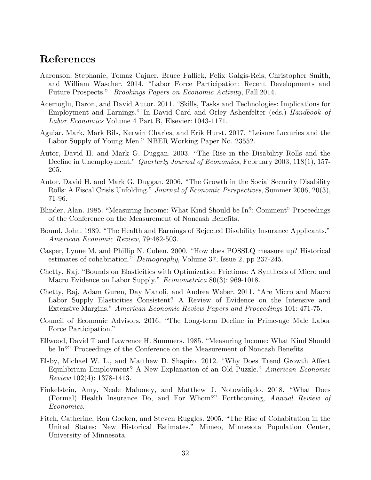# References

- Aaronson, Stephanie, Tomaz Cajner, Bruce Fallick, Felix Galgis-Reis, Christopher Smith, and William Wascher. 2014. "Labor Force Participation: Recent Developments and Future Prospects." *Brookings Papers on Economic Activity*, Fall 2014.
- Acemoglu, Daron, and David Autor. 2011. "Skills, Tasks and Technologies: Implications for Employment and Earnings." In David Card and Orley Ashenfelter (eds.) Handbook of Labor Economics Volume 4 Part B, Elsevier: 1043-1171.
- Aguiar, Mark, Mark Bils, Kerwin Charles, and Erik Hurst. 2017. "Leisure Luxuries and the Labor Supply of Young Men." NBER Working Paper No. 23552.
- Autor, David H. and Mark G. Duggan. 2003. "The Rise in the Disability Rolls and the Decline in Unemployment." Quarterly Journal of Economics, February 2003, 118(1), 157-205.
- Autor, David H. and Mark G. Duggan. 2006. "The Growth in the Social Security Disability Rolls: A Fiscal Crisis Unfolding." Journal of Economic Perspectives, Summer 2006, 20(3), 71-96.
- Blinder, Alan. 1985. "Measuring Income: What Kind Should be In?: Comment" Proceedings of the Conference on the Measurement of Noncash Benefits.
- Bound, John. 1989. "The Health and Earnings of Rejected Disability Insurance Applicants." American Economic Review, 79:482-503.
- Casper, Lynne M. and Phillip N. Cohen. 2000. "How does POSSLQ measure up? Historical estimates of cohabitation." Demography, Volume 37, Issue 2, pp 237-245.
- Chetty, Raj. "Bounds on Elasticities with Optimization Frictions: A Synthesis of Micro and Macro Evidence on Labor Supply." *Econometrica* 80(3): 969-1018.
- Chetty, Raj, Adam Guren, Day Manoli, and Andrea Weber. 2011. "Are Micro and Macro Labor Supply Elasticities Consistent? A Review of Evidence on the Intensive and Extensive Margins." American Economic Review Papers and Proceedings 101: 471-75.
- Council of Economic Advisors. 2016. "The Long-term Decline in Prime-age Male Labor Force Participation."
- Ellwood, David T and Lawrence H. Summers. 1985. "Measuring Income: What Kind Should be In?" Proceedings of the Conference on the Measurement of Noncash Benefits.
- Elsby, Michael W. L., and Matthew D. Shapiro. 2012. "Why Does Trend Growth Affect Equilibrium Employment? A New Explanation of an Old Puzzle." American Economic Review 102(4): 1378-1413.
- Finkelstein, Amy, Neale Mahoney, and Matthew J. Notowidigdo. 2018. "What Does (Formal) Health Insurance Do, and For Whom?" Forthcoming, Annual Review of Economics.
- Fitch, Catherine, Ron Goeken, and Steven Ruggles. 2005. "The Rise of Cohabitation in the United States: New Historical Estimates." Mimeo, Minnesota Population Center, University of Minnesota.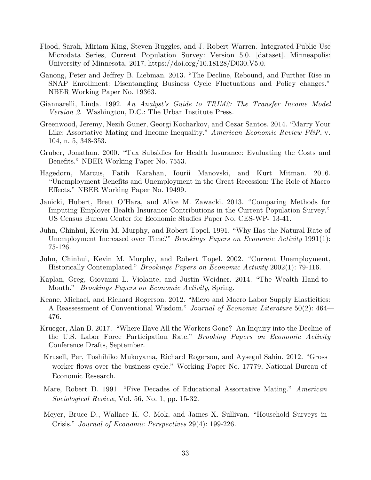- Flood, Sarah, Miriam King, Steven Ruggles, and J. Robert Warren. Integrated Public Use Microdata Series, Current Population Survey: Version 5.0. [dataset]. Minneapolis: University of Minnesota, 2017. https://doi.org/10.18128/D030.V5.0.
- Ganong, Peter and Jeffrey B. Liebman. 2013. "The Decline, Rebound, and Further Rise in SNAP Enrollment: Disentangling Business Cycle Fluctuations and Policy changes." NBER Working Paper No. 19363.
- Giannarelli, Linda. 1992. An Analyst's Guide to TRIM2: The Transfer Income Model Version 2. Washington, D.C.: The Urban Institute Press.
- Greenwood, Jeremy, Nezih Guner, Georgi Kocharkov, and Cezar Santos. 2014. "Marry Your Like: Assortative Mating and Income Inequality." American Economic Review P&P, v. 104, n. 5, 348-353.
- Gruber, Jonathan. 2000. "Tax Subsidies for Health Insurance: Evaluating the Costs and Benefits." NBER Working Paper No. 7553.
- Hagedorn, Marcus, Fatih Karahan, Iourii Manovski, and Kurt Mitman. 2016. "Unemployment Benefits and Unemployment in the Great Recession: The Role of Macro Effects." NBER Working Paper No. 19499.
- Janicki, Hubert, Brett O'Hara, and Alice M. Zawacki. 2013. "Comparing Methods for Imputing Employer Health Insurance Contributions in the Current Population Survey." US Census Bureau Center for Economic Studies Paper No. CES-WP- 13-41.
- Juhn, Chinhui, Kevin M. Murphy, and Robert Topel. 1991. "Why Has the Natural Rate of Unemployment Increased over Time?" *Brookings Papers on Economic Activity* 1991(1): 75-126.
- Juhn, Chinhui, Kevin M. Murphy, and Robert Topel. 2002. "Current Unemployment, Historically Contemplated." Brookings Papers on Economic Activity 2002(1): 79-116.
- Kaplan, Greg, Giovanni L. Violante, and Justin Weidner. 2014. "The Wealth Hand-to-Mouth." Brookings Papers on Economic Activity, Spring.
- Keane, Michael, and Richard Rogerson. 2012. "Micro and Macro Labor Supply Elasticities: A Reassessment of Conventional Wisdom." Journal of Economic Literature 50(2): 464– 476.
- Krueger, Alan B. 2017. "Where Have All the Workers Gone? An Inquiry into the Decline of the U.S. Labor Force Participation Rate." Brooking Papers on Economic Activity Conference Drafts, September.
- Krusell, Per, Toshihiko Mukoyama, Richard Rogerson, and Aysegul Sahin. 2012. "Gross worker flows over the business cycle." Working Paper No. 17779, National Bureau of Economic Research.
- Mare, Robert D. 1991. "Five Decades of Educational Assortative Mating." American Sociological Review, Vol. 56, No. 1, pp. 15-32.
- Meyer, Bruce D., Wallace K. C. Mok, and James X. Sullivan. "Household Surveys in Crisis." Journal of Economic Perspectives 29(4): 199-226.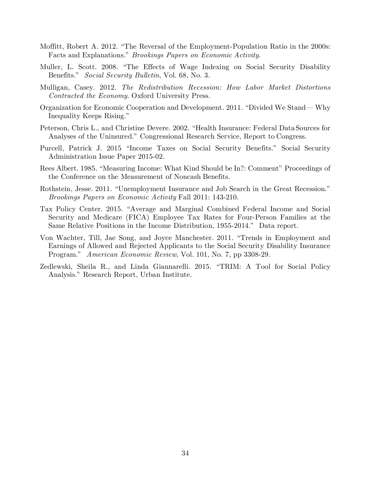- Moffitt, Robert A. 2012. "The Reversal of the Employment-Population Ratio in the 2000s: Facts and Explanations." Brookings Papers on Economic Activity.
- Muller, L. Scott. 2008. "The Effects of Wage Indexing on Social Security Disability Benefits." Social Security Bulletin, Vol. 68, No. 3.
- Mulligan, Casey. 2012. The Redistribution Recession: How Labor Market Distortions Contracted the Economy. Oxford University Press.
- Organization for Economic Cooperation and Development. 2011. "Divided We Stand— Why Inequality Keeps Rising."
- Peterson, Chris L., and Christine Devere. 2002. "Health Insurance: Federal DataSources for Analyses of the Uninsured." Congressional Research Service, Report to Congress.
- Purcell, Patrick J. 2015 "Income Taxes on Social Security Benefits." Social Security Administration Issue Paper 2015-02.
- Rees Albert. 1985. "Measuring Income: What Kind Should be In?: Comment" Proceedings of the Conference on the Measurement of Noncash Benefits.
- Rothstein, Jesse. 2011. "Unemployment Insurance and Job Search in the Great Recession." Brookings Papers on Economic Activity Fall 2011: 143-210.
- Tax Policy Center. 2015. "Average and Marginal Combined Federal Income and Social Security and Medicare (FICA) Employee Tax Rates for Four-Person Families at the Same Relative Positions in the Income Distribution, 1955-2014." Data report.
- Von Wachter, Till, Jae Song, and Joyce Manchester. 2011. "Trends in Employment and Earnings of Allowed and Rejected Applicants to the Social Security Disability Insurance Program." American Economic Review, Vol. 101, No. 7, pp 3308-29.
- Zedlewski, Sheila R., and Linda Giannarelli. 2015. "TRIM: A Tool for Social Policy Analysis." Research Report, Urban Institute.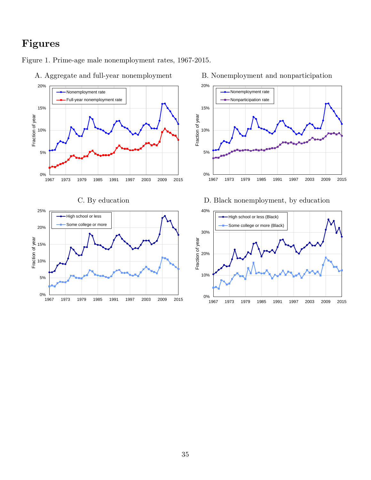# Figures

 $\frac{1}{0\%}$  1967

Figure 1. Prime-age male nonemployment rates, 1967-2015.



<span id="page-34-0"></span>A. Aggregate and full-year nonemployment B. Nonemployment and nonparticipation



<span id="page-34-1"></span>

1967 1973 1979 1985 1991 1997 2003 2009 2015

C. By education D. Black nonemployment, by education

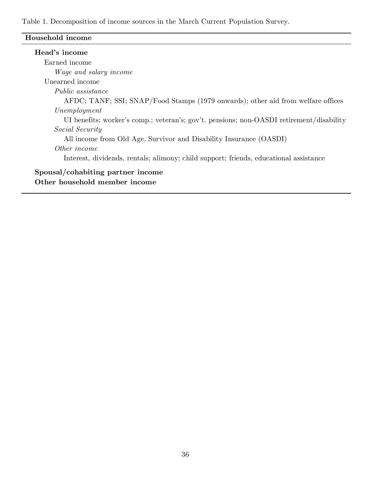<span id="page-35-0"></span>Table 1. Decomposition of income sources in the March Current Population Survey.

| Household income                                                                         |
|------------------------------------------------------------------------------------------|
| Head's income                                                                            |
| Earned income                                                                            |
| <i>Wage and salary income</i>                                                            |
| Unearned income                                                                          |
| <i>Public assistance</i>                                                                 |
| AFDC; TANF; SSI; SNAP/Food Stamps (1979 onwards); other aid from welfare offices         |
| Unemployment                                                                             |
| UI benefits; worker's comp.; veteran's; gov't. pensions; non-OASDI retirement/disability |
| <i>Social Security</i>                                                                   |
| All income from Old Age, Survivor and Disability Insurance (OASDI)                       |
| Other income                                                                             |
| Interest, dividends, rentals; alimony; child support; friends, educational assistance    |
| Spousal/cohabiting partner income                                                        |
| Other household member income                                                            |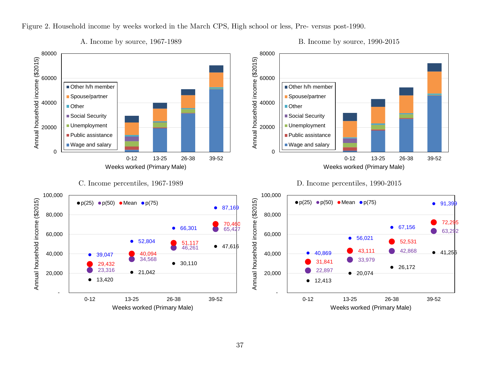Figure 2. Household income by weeks worked in the March CPS, High school or less, Pre- versus post-1990.

<span id="page-36-0"></span>

A. Income by source, 1967-1989 B. Income by source, 1990-2015

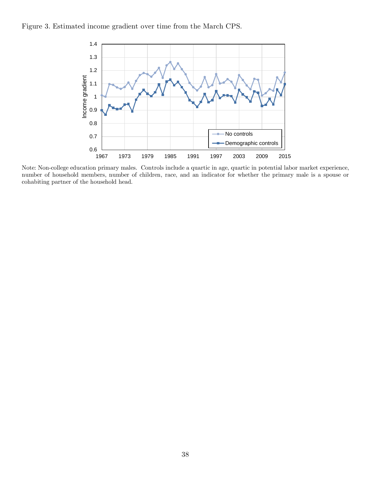<span id="page-37-0"></span>



Note: Non-college education primary males. Controls include a quartic in age, quartic in potential labor market experience, number of household members, number of children, race, and an indicator for whether the primary male is a spouse or cohabiting partner of the household head.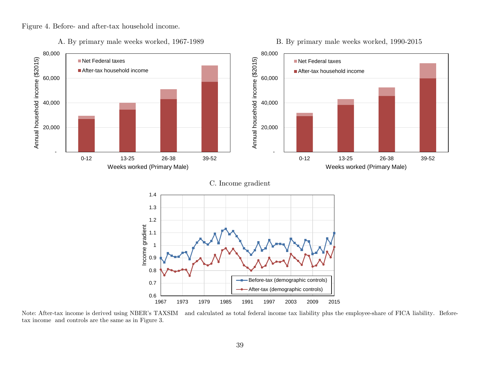Figure 4. Before- and after-tax household income.

<span id="page-38-0"></span>

#### A. By primary male weeks worked, 1967-1989 B. By primary male weeks worked, 1990-2015

Note: After-tax income is derived using NBER's TAXSIM and calculated as total federal income tax liability plus the employee-share of FICA liability. Beforetax income and controls are the same as in Figure 3.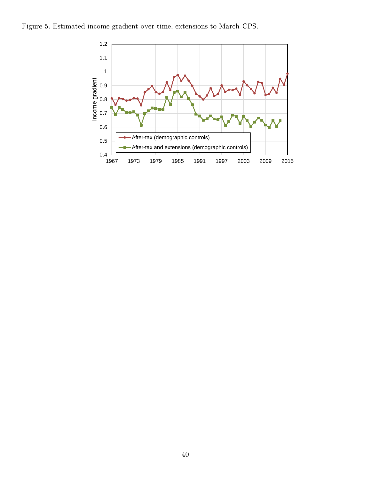

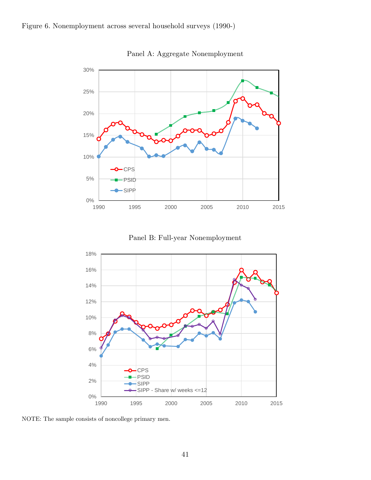Figure 6. Nonemployment across several household surveys (1990-)



Panel A: Aggregate Nonemployment

Panel B: Full-year Nonemployment



NOTE: The sample consists of noncollege primary men.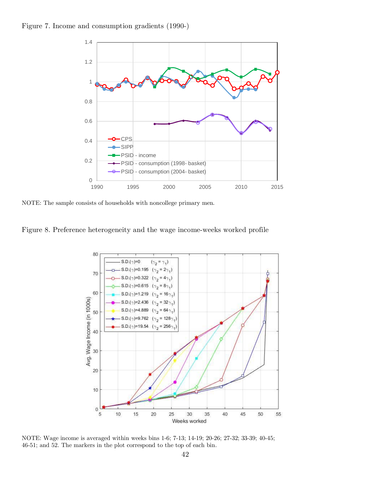



NOTE: The sample consists of households with noncollege primary men.

Figure 8. Preference heterogeneity and the wage income-weeks worked profile



NOTE: Wage income is averaged within weeks bins 1-6; 7-13; 14-19; 20-26; 27-32; 33-39; 40-45; 46-51; and 52. The markers in the plot correspond to the top of each bin.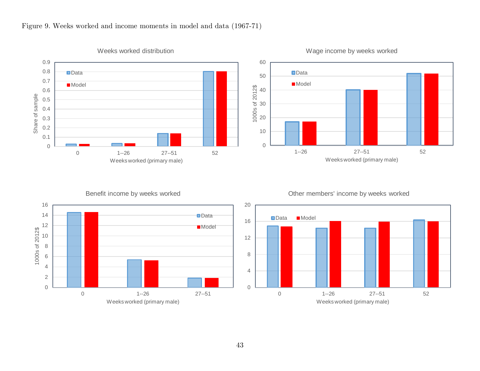

Weeks worked distribution



**D**ata **Model** 



Benefit income by weeks worked

0 1--26 27--51

Weeks worked (primary male)

1000s of 2012\$

1000s of 2012\$



Other members' income by weeks worked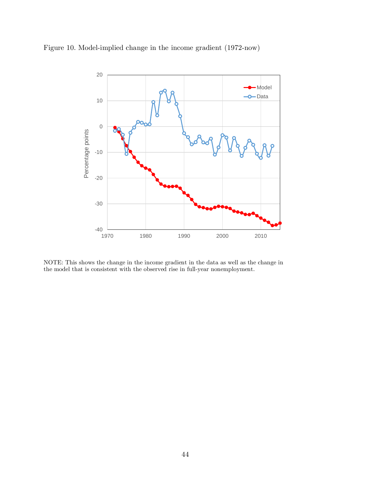



NOTE: This shows the change in the income gradient in the data as well as the change in the model that is consistent with the observed rise in full-year nonemployment.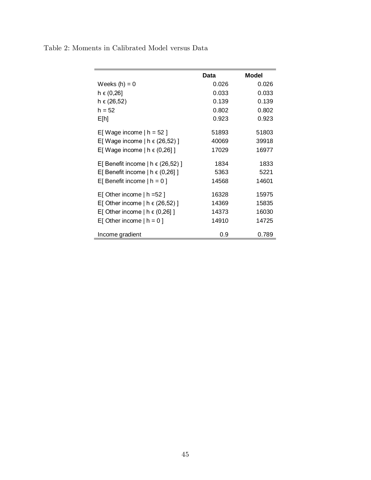| Table 2: Moments in Calibrated Model versus Data |  |
|--------------------------------------------------|--|
|--------------------------------------------------|--|

|                                                | Data  | <b>Model</b> |
|------------------------------------------------|-------|--------------|
| Weeks $(h) = 0$                                | 0.026 | 0.026        |
| $h \in (0, 26]$                                | 0.033 | 0.033        |
| h ε (26,52)                                    | 0.139 | 0.139        |
| $h = 52$                                       | 0.802 | 0.802        |
| E[h]                                           | 0.923 | 0.923        |
| E[ Wage income $ h = 52$ ]                     | 51893 | 51803        |
| E[ Wage income $ h \in (26, 52)$ ]             | 40069 | 39918        |
| E[ Wage income $\vert$ h $\epsilon$ (0,26] ]   | 17029 | 16977        |
| E[ Benefit income $ h \in (26, 52)$ ]          | 1834  | 1833         |
| E[ Benefit income $ h \in (0,26]$ ]            | 5363  | 5221         |
| E[ Benefit income $ h = 0$ ]                   | 14568 | 14601        |
| E[ Other income $ h = 52$ ]                    | 16328 | 15975        |
| E[ Other income $\vert$ h $\epsilon$ (26,52) ] | 14369 | 15835        |
| E[ Other income $\vert$ h $\epsilon$ (0,26] ]  | 14373 | 16030        |
| E[ Other income $ h = 0$ ]                     | 14910 | 14725        |
| Income gradient                                | 0.9   | 0.789        |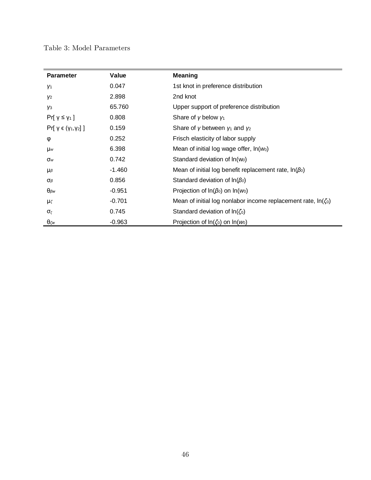### Table 3: Model Parameters

| <b>Parameter</b>                        | Value    | <b>Meaning</b>                                                      |
|-----------------------------------------|----------|---------------------------------------------------------------------|
| Y <sub>1</sub>                          | 0.047    | 1st knot in preference distribution                                 |
| V <sub>2</sub>                          | 2.898    | 2nd knot                                                            |
| Y <sub>3</sub>                          | 65.760   | Upper support of preference distribution                            |
| $Pr[\gamma \leq \gamma_1]$              | 0.808    | Share of $\gamma$ below $\gamma_1$                                  |
| Pr[ $\gamma \in (\gamma_1, \gamma_2]$ ] | 0.159    | Share of y between $y_1$ and $y_2$                                  |
| φ                                       | 0.252    | Frisch elasticity of labor supply                                   |
| <b>µw</b>                               | 6.398    | Mean of initial log wage offer, $ln(w_0)$                           |
| $\sigma_w$                              | 0.742    | Standard deviation of In(wo)                                        |
| $\mu_{\beta}$                           | $-1.460$ | Mean of initial log benefit replacement rate, $ln(\beta_0)$         |
| $\sigma_{\beta}$                        | 0.856    | Standard deviation of $\ln(\beta_o)$                                |
| $\Theta_{\beta w}$                      | $-0.951$ | Projection of $ln(\beta_0)$ on $ln(w_0)$                            |
| $\mu$                                   | $-0.701$ | Mean of initial log nonlabor income replacement rate, $ln(\zeta_0)$ |
| $\sigma_{\zeta}$                        | 0.745    | Standard deviation of $ln(\zeta_0)$                                 |
| $\Theta_{\zeta w}$                      | $-0.963$ | Projection of $ln(\zeta_0)$ on $ln(w_0)$                            |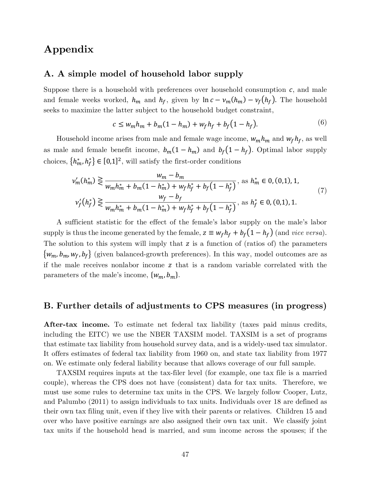## Appendix

#### A. A simple model of household labor supply

Suppose there is a household with preferences over household consumption  $c$ , and male and female weeks worked,  $h_m$  and  $h_f$ , given by  $\ln c - v_m(h_m) - v_f(h_f)$ . The household seeks to maximize the latter subject to the household budget constraint,

$$
c \le w_m h_m + b_m (1 - h_m) + w_f h_f + b_f (1 - h_f). \tag{6}
$$

Household income arises from male and female wage income,  $w_m h_m$  and  $w_f h_f$ , as well as male and female benefit income,  $b_m(1 - h_m)$  and  $b_f(1 - h_f)$ . Optimal labor supply choices,  $\{h_m^*, h_f^*\} \in [0,1]^2$ , will satisfy the first-order conditions

$$
v'_{m}(h_{m}^{*}) \geq \frac{w_{m} - b_{m}}{w_{m}h_{m}^{*} + b_{m}(1 - h_{m}^{*}) + w_{f}h_{f}^{*} + b_{f}(1 - h_{f}^{*})}, \text{ as } h_{m}^{*} \in 0, (0, 1), 1,
$$
  
\n
$$
v'_{f}(h_{f}^{*}) \geq \frac{w_{f} - b_{f}}{w_{m}h_{m}^{*} + b_{m}(1 - h_{m}^{*}) + w_{f}h_{f}^{*} + b_{f}(1 - h_{f}^{*})}, \text{ as } h_{f}^{*} \in 0, (0, 1), 1.
$$
\n
$$
(7)
$$

A sufficient statistic for the effect of the female's labor supply on the male's labor supply is thus the income generated by the female,  $z \equiv w_f h_f + b_f (1 - h_f)$  (and *vice versa*). The solution to this system will imply that  $z$  is a function of (ratios of) the parameters  $\{w_m, b_m, w_f, b_f\}$  (given balanced-growth preferences). In this way, model outcomes are as if the male receives nonlabor income z that is a random variable correlated with the parameters of the male's income,  $\{w_m, b_m\}$ .

### B. Further details of adjustments to CPS measures (in progress)

After-tax income. To estimate net federal tax liability (taxes paid minus credits, including the EITC) we use the NBER TAXSIM model. TAXSIM is a set of programs that estimate tax liability from household survey data, and is a widely-used tax simulator. It offers estimates of federal tax liability from 1960 on, and state tax liability from 1977 on. We estimate only federal liability because that allows coverage of our full sample.

TAXSIM requires inputs at the tax-filer level (for example, one tax file is a married couple), whereas the CPS does not have (consistent) data for tax units. Therefore, we must use some rules to determine tax units in the CPS. We largely follow Cooper, Lutz, and Palumbo (2011) to assign individuals to tax units. Individuals over 18 are defined as their own tax filing unit, even if they live with their parents or relatives. Children 15 and over who have positive earnings are also assigned their own tax unit. We classify joint tax units if the household head is married, and sum income across the spouses; if the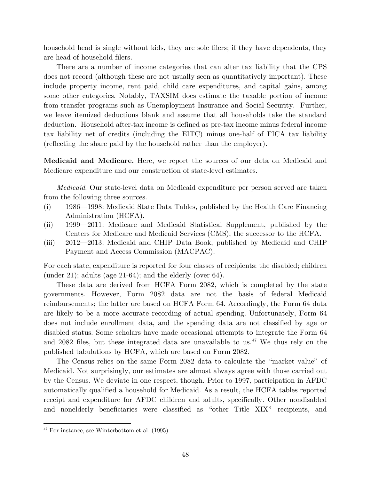household head is single without kids, they are sole filers; if they have dependents, they are head of household filers.

There are a number of income categories that can alter tax liability that the CPS does not record (although these are not usually seen as quantitatively important). These include property income, rent paid, child care expenditures, and capital gains, among some other categories. Notably, TAXSIM does estimate the taxable portion of income from transfer programs such as Unemployment Insurance and Social Security. Further, we leave itemized deductions blank and assume that all households take the standard deduction. Household after-tax income is defined as pre-tax income minus federal income tax liability net of credits (including the EITC) minus one-half of FICA tax liability (reflecting the share paid by the household rather than the employer).

Medicaid and Medicare. Here, we report the sources of our data on Medicaid and Medicare expenditure and our construction of state-level estimates.

Medicaid. Our state-level data on Medicaid expenditure per person served are taken from the following three sources.

- (i) 1986—1998: Medicaid State Data Tables, published by the Health Care Financing Administration (HCFA).
- (ii) 1999—2011: Medicare and Medicaid Statistical Supplement, published by the Centers for Medicare and Medicaid Services (CMS), the successor to the HCFA.
- (iii) 2012—2013: Medicaid and CHIP Data Book, published by Medicaid and CHIP Payment and Access Commission (MACPAC).

For each state, expenditure is reported for four classes of recipients: the disabled; children (under 21); adults (age 21-64); and the elderly (over 64).

These data are derived from HCFA Form 2082, which is completed by the state governments. However, Form 2082 data are not the basis of federal Medicaid reimbursements; the latter are based on HCFA Form 64. Accordingly, the Form 64 data are likely to be a more accurate recording of actual spending. Unfortunately, Form 64 does not include enrollment data, and the spending data are not classified by age or disabled status. Some scholars have made occasional attempts to integrate the Form 64 and 2082 files, but these integrated data are unavailable to us.<sup>[47](#page-47-0)</sup> We thus rely on the published tabulations by HCFA, which are based on Form 2082.

The Census relies on the same Form 2082 data to calculate the "market value" of Medicaid. Not surprisingly, our estimates are almost always agree with those carried out by the Census. We deviate in one respect, though. Prior to 1997, participation in AFDC automatically qualified a household for Medicaid. As a result, the HCFA tables reported receipt and expenditure for AFDC children and adults, specifically. Other nondisabled and nonelderly beneficiaries were classified as "other Title XIX" recipients, and

<span id="page-47-0"></span> $47$  For instance, see Winterbottom et al.  $(1995)$ .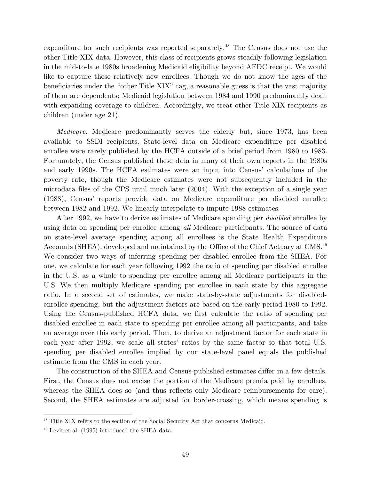expenditure for such recipients was reported separately.<sup>[48](#page-48-0)</sup> The Census does not use the other Title XIX data. However, this class of recipients grows steadily following legislation in the mid-to-late 1980s broadening Medicaid eligibility beyond AFDC receipt. We would like to capture these relatively new enrollees. Though we do not know the ages of the beneficiaries under the "other Title XIX" tag, a reasonable guess is that the vast majority of them are dependents; Medicaid legislation between 1984 and 1990 predominantly dealt with expanding coverage to children. Accordingly, we treat other Title XIX recipients as children (under age 21).

*Medicare*. Medicare predominantly serves the elderly but, since 1973, has been available to SSDI recipients. State-level data on Medicare expenditure per disabled enrollee were rarely published by the HCFA outside of a brief period from 1980 to 1983. Fortunately, the Census published these data in many of their own reports in the 1980s and early 1990s. The HCFA estimates were an input into Census' calculations of the poverty rate, though the Medicare estimates were not subsequently included in the microdata files of the CPS until much later (2004). With the exception of a single year (1988), Census' reports provide data on Medicare expenditure per disabled enrollee between 1982 and 1992. We linearly interpolate to impute 1988 estimates.

After 1992, we have to derive estimates of Medicare spending per *disabled* enrollee by using data on spending per enrollee among all Medicare participants. The source of data on state-level average spending among all enrollees is the State Health Expenditure Accounts (SHEA), developed and maintained by the Office of the Chief Actuary at CMS.<sup>[49](#page-48-1)</sup> We consider two ways of inferring spending per disabled enrollee from the SHEA. For one, we calculate for each year following 1992 the ratio of spending per disabled enrollee in the U.S. as a whole to spending per enrollee among all Medicare participants in the U.S. We then multiply Medicare spending per enrollee in each state by this aggregate ratio. In a second set of estimates, we make state-by-state adjustments for disabledenrollee spending, but the adjustment factors are based on the early period 1980 to 1992. Using the Census-published HCFA data, we first calculate the ratio of spending per disabled enrollee in each state to spending per enrollee among all participants, and take an average over this early period. Then, to derive an adjustment factor for each state in each year after 1992, we scale all states' ratios by the same factor so that total U.S. spending per disabled enrollee implied by our state-level panel equals the published estimate from the CMS in each year.

The construction of the SHEA and Census-published estimates differ in a few details. First, the Census does not excise the portion of the Medicare premia paid by enrollees, whereas the SHEA does so (and thus reflects only Medicare reimbursements for care). Second, the SHEA estimates are adjusted for border-crossing, which means spending is

<span id="page-48-0"></span><sup>48</sup> Title XIX refers to the section of the Social Security Act that concerns Medicaid.

<span id="page-48-1"></span><sup>49</sup> Levit et al. (1995) introduced the SHEA data.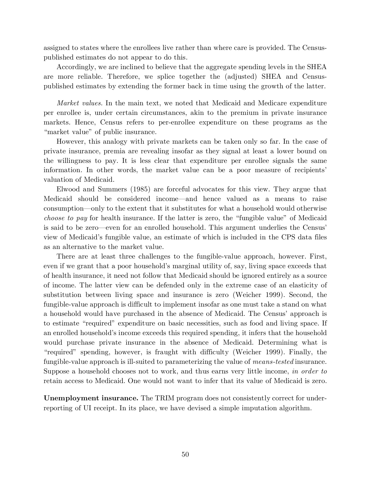assigned to states where the enrollees live rather than where care is provided. The Censuspublished estimates do not appear to do this.

Accordingly, we are inclined to believe that the aggregate spending levels in the SHEA are more reliable. Therefore, we splice together the (adjusted) SHEA and Censuspublished estimates by extending the former back in time using the growth of the latter.

Market values. In the main text, we noted that Medicaid and Medicare expenditure per enrollee is, under certain circumstances, akin to the premium in private insurance markets. Hence, Census refers to per-enrollee expenditure on these programs as the "market value" of public insurance.

However, this analogy with private markets can be taken only so far. In the case of private insurance, premia are revealing insofar as they signal at least a lower bound on the willingness to pay. It is less clear that expenditure per enrollee signals the same information. In other words, the market value can be a poor measure of recipients' valuation of Medicaid.

Elwood and Summers (1985) are forceful advocates for this view. They argue that Medicaid should be considered income—and hence valued as a means to raise consumption—only to the extent that it substitutes for what a household would otherwise choose to pay for health insurance. If the latter is zero, the "fungible value" of Medicaid is said to be zero—even for an enrolled household. This argument underlies the Census' view of Medicaid's fungible value, an estimate of which is included in the CPS data files as an alternative to the market value.

There are at least three challenges to the fungible-value approach, however. First, even if we grant that a poor household's marginal utility of, say, living space exceeds that of health insurance, it need not follow that Medicaid should be ignored entirely as a source of income. The latter view can be defended only in the extreme case of an elasticity of substitution between living space and insurance is zero (Weicher 1999). Second, the fungible-value approach is difficult to implement insofar as one must take a stand on what a household would have purchased in the absence of Medicaid. The Census' approach is to estimate "required" expenditure on basic necessities, such as food and living space. If an enrolled household's income exceeds this required spending, it infers that the household would purchase private insurance in the absence of Medicaid. Determining what is "required" spending, however, is fraught with difficulty (Weicher 1999). Finally, the fungible-value approach is ill-suited to parameterizing the value of means-tested insurance. Suppose a household chooses not to work, and thus earns very little income, in order to retain access to Medicaid. One would not want to infer that its value of Medicaid is zero.

Unemployment insurance. The TRIM program does not consistently correct for underreporting of UI receipt. In its place, we have devised a simple imputation algorithm.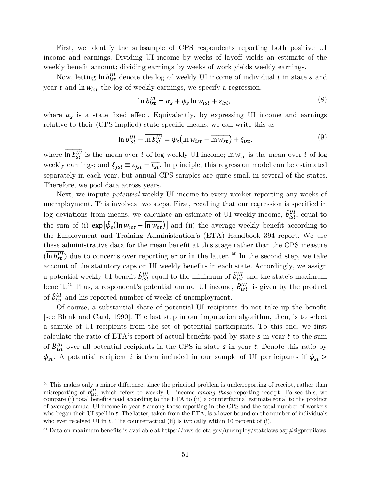First, we identify the subsample of CPS respondents reporting both positive UI income and earnings. Dividing UI income by weeks of layoff yields an estimate of the weekly benefit amount; dividing earnings by weeks of work yields weekly earnings.

Now, letting  $\ln b_{\text{ist}}^{U_l}$  denote the log of weekly UI income of individual *i* in state *s* and year  $t$  and  $\ln w_{ist}$  the log of weekly earnings, we specify a regression,

$$
\ln b_{ist}^{UI} = \alpha_s + \psi_s \ln w_{ist} + \varepsilon_{ist},\tag{8}
$$

where  $\alpha_s$  is a state fixed effect. Equivalently, by expressing UI income and earnings relative to their (CPS-implied) state specific means, we can write this as

$$
\ln b_{ist}^{UI} - \overline{\ln b_{st}^{UI}} = \psi_s \left( \ln w_{ist} - \overline{\ln w_{st}} \right) + \xi_{ist},\tag{9}
$$

where  $\overline{\ln b_{st}^{UI}}$  is the mean over *i* of log weekly UI income;  $\overline{\ln w_{st}}$  is the mean over *i* of log weekly earnings; and  $\xi_{jst} \equiv \varepsilon_{jst} - \overline{\varepsilon_{st}}$ . In principle, this regression model can be estimated separately in each year, but annual CPS samples are quite small in several of the states. Therefore, we pool data across years.

Next, we impute potential weekly UI income to every worker reporting any weeks of unemployment. This involves two steps. First, recalling that our regression is specified in log deviations from means, we calculate an estimate of UI weekly income,  $\tilde{b}_{ist}^{UL}$ , equal to the sum of (i)  $\exp[\hat{\psi}_s(\ln w_{ist} - \overline{\ln w_{st}})]$  and (ii) the average weekly benefit according to the Employment and Training Administration's (ETA) Handbook 394 report. We use these administrative data for the mean benefit at this stage rather than the CPS measure  $(\overline{\ln b_{st}^{UI}})$  due to concerns over reporting error in the latter. <sup>[50](#page-50-0)</sup> In the second step, we take account of the statutory caps on UI weekly benefits in each state. Accordingly, we assign a potential weekly UI benefit  $b_{ist}^{UL}$  equal to the minimum of  $b_{ist}^{UL}$  and the state's maximum benefit.<sup>[51](#page-50-1)</sup> Thus, a respondent's potential annual UI income,  $\hat{B}_{ist}^{UI}$ , is given by the product of  $\hat{b}_{ist}^{UI}$  and his reported number of weeks of unemployment.

Of course, a substantial share of potential UI recipients do not take up the benefit [see Blank and Card, 1990]. The last step in our imputation algorithm, then, is to select a sample of UI recipients from the set of potential participants. To this end, we first calculate the ratio of ETA's report of actual benefits paid by state  $s$  in year  $t$  to the sum of  $\hat{B}_{\text{ist}}^{U_l}$  over all potential recipients in the CPS in state s in year t. Denote this ratio by  $\phi_{st}$ . A potential recipient *i* is then included in our sample of UI participants if  $\phi_{st}$ 

<span id="page-50-0"></span><sup>&</sup>lt;sup>50</sup> This makes only a minor difference, since the principal problem is underreporting of receipt, rather than misreporting of  $b_{ist}^{UI}$ , which refers to weekly UI income among those reporting receipt. To see this, we compare (i) total benefits paid according to the ETA to (ii) a counterfactual estimate equal to the product of average annual UI income in year  $t$  among those reporting in the CPS and the total number of workers who began their UI spell in  $t$ . The latter, taken from the ETA, is a lower bound on the number of individuals who ever received UI in  $t$ . The counterfactual (ii) is typically within 10 percent of (i).

<span id="page-50-1"></span> $51$  Data on maximum benefits is available at https://ows.doleta.gov/unemploy/statelaws.asp#sigprouilaws.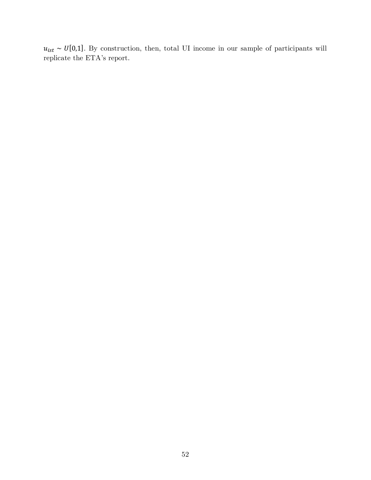$u_{ist} \sim U[0,1]$ . By construction, then, total UI income in our sample of participants will replicate the ETA's report.